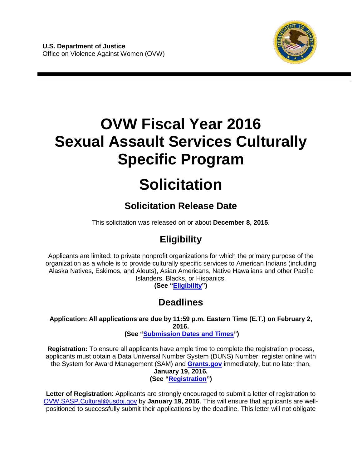

# **OVW Fiscal Year 2016 Sexual Assault Services Culturally Specific Program**

# **Solicitation**

# **Solicitation Release Date**

This solicitation was released on or about **December 8, 2015**.

# **Eligibility**

Applicants are limited: to private nonprofit organizations for which the primary purpose of the organization as a whole is to provide culturally specific services to American Indians (including Alaska Natives, Eskimos, and Aleuts), Asian Americans, Native Hawaiians and other Pacific Islanders, Blacks, or Hispanics.

**(See ["Eligibility"](#page-9-0))** 

# **Deadlines**

**Application: All applications are due by 11:59 p.m. Eastern Time (E.T.) on February 2, 2016.** 

**(See ["Submission Dates and Times"](#page-27-0))** 

**Registration:** To ensure all applicants have ample time to complete the registration process, applicants must obtain a Data Universal Number System (DUNS) Number, register online with the System for Award Management (SAM) and **[Grants.gov](http://www.grants.gov/)** immediately, but no later than, **January 19, 2016. (See ["Registration"](#page-27-1))**

**Letter of Registration**: Applicants are strongly encouraged to submit a letter of registration to [OVW.SASP.Cultural@usdoj.gov](mailto:OVW.SASP.Cultural@usdoj.gov) by **January 19, 2016**. This will ensure that applicants are wellpositioned to successfully submit their applications by the deadline. This letter will not obligate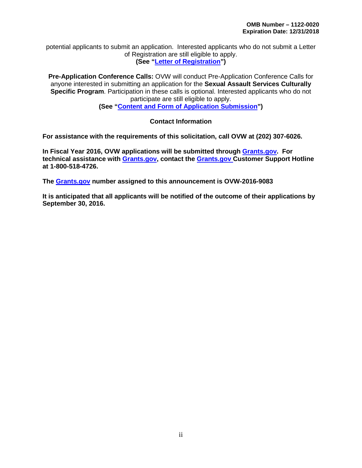potential applicants to submit an application. Interested applicants who do not submit a Letter of Registration are still eligible to apply. **(See ["Letter of Registration"](#page-11-0))**

**Pre-Application Conference Calls:** OVW will conduct Pre-Application Conference Calls for anyone interested in submitting an application for the **Sexual Assault Services Culturally Specific Program**. Participation in these calls is optional. Interested applicants who do not participate are still eligible to apply.

**(See ["Content and Form of Application Submission"](#page-11-1))**

#### **Contact Information**

**For assistance with the requirements of this solicitation, call OVW at (202) 307-6026.**

**In Fiscal Year 2016, OVW applications will be submitted through [Grants.gov.](http://www.grants.gov/) For technical assistance with [Grants.gov,](http://www.grants.gov/) contact the [Grants.gov C](http://www.grants.gov/)ustomer Support Hotline at 1-800-518-4726.** 

**The [Grants.gov](http://www.grants.gov/) number assigned to this announcement is OVW-2016-9083**

**It is anticipated that all applicants will be notified of the outcome of their applications by September 30, 2016.**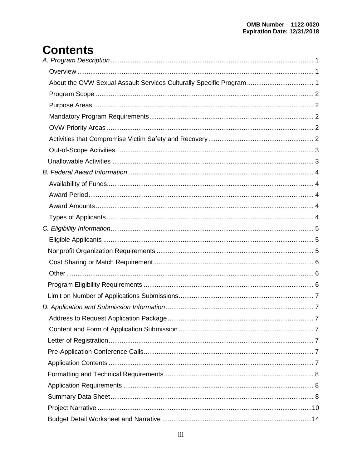# **Contents**

| About the OVW Sexual Assault Services Culturally Specific Program  1 |  |
|----------------------------------------------------------------------|--|
|                                                                      |  |
|                                                                      |  |
|                                                                      |  |
|                                                                      |  |
|                                                                      |  |
|                                                                      |  |
|                                                                      |  |
|                                                                      |  |
|                                                                      |  |
|                                                                      |  |
|                                                                      |  |
|                                                                      |  |
|                                                                      |  |
|                                                                      |  |
|                                                                      |  |
|                                                                      |  |
|                                                                      |  |
|                                                                      |  |
|                                                                      |  |
|                                                                      |  |
|                                                                      |  |
|                                                                      |  |
|                                                                      |  |
|                                                                      |  |
|                                                                      |  |
|                                                                      |  |
|                                                                      |  |
|                                                                      |  |
|                                                                      |  |
|                                                                      |  |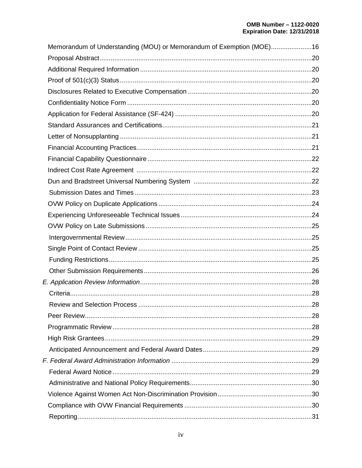| Memorandum of Understanding (MOU) or Memorandum of Exemption (MOE)16 |  |
|----------------------------------------------------------------------|--|
|                                                                      |  |
|                                                                      |  |
|                                                                      |  |
|                                                                      |  |
|                                                                      |  |
|                                                                      |  |
|                                                                      |  |
|                                                                      |  |
|                                                                      |  |
|                                                                      |  |
|                                                                      |  |
|                                                                      |  |
|                                                                      |  |
|                                                                      |  |
|                                                                      |  |
|                                                                      |  |
|                                                                      |  |
|                                                                      |  |
|                                                                      |  |
|                                                                      |  |
|                                                                      |  |
|                                                                      |  |
|                                                                      |  |
|                                                                      |  |
|                                                                      |  |
|                                                                      |  |
|                                                                      |  |
|                                                                      |  |
|                                                                      |  |
|                                                                      |  |
|                                                                      |  |
|                                                                      |  |
|                                                                      |  |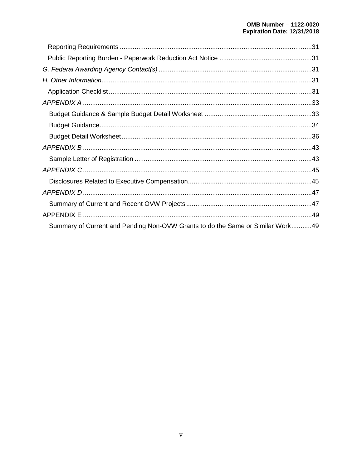| Summary of Current and Pending Non-OVW Grants to do the Same or Similar Work49 |  |
|--------------------------------------------------------------------------------|--|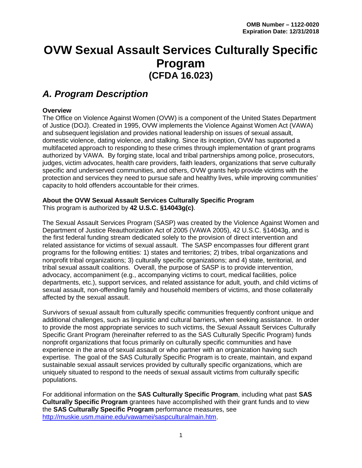# **OVW Sexual Assault Services Culturally Specific Program (CFDA 16.023)**

### <span id="page-5-0"></span>*A. Program Description*

#### <span id="page-5-1"></span>**Overview**

The Office on Violence Against Women (OVW) is a component of the United States Department of Justice (DOJ). Created in 1995, OVW implements the Violence Against Women Act (VAWA) and subsequent legislation and provides national leadership on issues of sexual assault, domestic violence, dating violence, and stalking. Since its inception, OVW has supported a multifaceted approach to responding to these crimes through implementation of grant programs authorized by VAWA. By forging state, local and tribal partnerships among police, prosecutors, judges, victim advocates, health care providers, faith leaders, organizations that serve culturally specific and underserved communities, and others, OVW grants help provide victims with the protection and services they need to pursue safe and healthy lives, while improving communities' capacity to hold offenders accountable for their crimes.

#### <span id="page-5-2"></span>**About the OVW Sexual Assault Services Culturally Specific Program** This program is authorized by **42 U.S.C. §14043g(c)**.

The Sexual Assault Services Program (SASP) was created by the Violence Against Women and Department of Justice Reauthorization Act of 2005 (VAWA 2005), 42 U.S.C. §14043g, and is the first federal funding stream dedicated solely to the provision of direct intervention and related assistance for victims of sexual assault. The SASP encompasses four different grant programs for the following entities: 1) states and territories; 2) tribes, tribal organizations and nonprofit tribal organizations; 3) culturally specific organizations; and 4) state, territorial, and tribal sexual assault coalitions. Overall, the purpose of SASP is to provide intervention, advocacy, accompaniment (e.g., accompanying victims to court, medical facilities, police departments, etc.), support services, and related assistance for adult, youth, and child victims of sexual assault, non-offending family and household members of victims, and those collaterally affected by the sexual assault.

Survivors of sexual assault from culturally specific communities frequently confront unique and additional challenges, such as linguistic and cultural barriers, when seeking assistance. In order to provide the most appropriate services to such victims, the Sexual Assault Services Culturally Specific Grant Program (hereinafter referred to as the SAS Culturally Specific Program) funds nonprofit organizations that focus primarily on culturally specific communities and have experience in the area of sexual assault or who partner with an organization having such expertise. The goal of the SAS Culturally Specific Program is to create, maintain, and expand sustainable sexual assault services provided by culturally specific organizations, which are uniquely situated to respond to the needs of sexual assault victims from culturally specific populations.

For additional information on the **SAS Culturally Specific Program**, including what past **SAS Culturally Specific Program** grantees have accomplished with their grant funds and to view the **SAS Culturally Specific Program** performance measures, see [http://muskie.usm.maine.edu/vawamei/saspculturalmain.htm.](http://muskie.usm.maine.edu/vawamei/saspculturalmain.htm)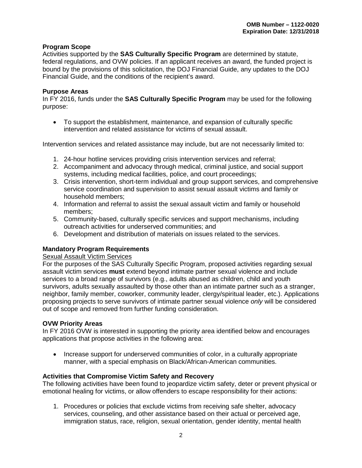#### <span id="page-6-0"></span>**Program Scope**

Activities supported by the **SAS Culturally Specific Program** are determined by statute, federal regulations, and OVW policies. If an applicant receives an award, the funded project is bound by the provisions of this solicitation, the DOJ Financial Guide, any updates to the DOJ Financial Guide, and the conditions of the recipient's award.

#### <span id="page-6-1"></span>**Purpose Areas**

In FY 2016, funds under the **SAS Culturally Specific Program** may be used for the following purpose:

• To support the establishment, maintenance, and expansion of culturally specific intervention and related assistance for victims of sexual assault.

Intervention services and related assistance may include, but are not necessarily limited to:

- 1. 24-hour hotline services providing crisis intervention services and referral;
- 2. Accompaniment and advocacy through medical, criminal justice, and social support systems, including medical facilities, police, and court proceedings;
- 3. Crisis intervention, short-term individual and group support services, and comprehensive service coordination and supervision to assist sexual assault victims and family or household members;
- 4. Information and referral to assist the sexual assault victim and family or household members;
- 5. Community-based, culturally specific services and support mechanisms, including outreach activities for underserved communities; and
- 6. Development and distribution of materials on issues related to the services.

#### <span id="page-6-2"></span>**Mandatory Program Requirements**

#### Sexual Assault Victim Services

For the purposes of the SAS Culturally Specific Program, proposed activities regarding sexual assault victim services **must** extend beyond intimate partner sexual violence and include services to a broad range of survivors (e.g., adults abused as children, child and youth survivors, adults sexually assaulted by those other than an intimate partner such as a stranger, neighbor, family member, coworker, community leader, clergy/spiritual leader, etc.). Applications proposing projects to serve survivors of intimate partner sexual violence *only* will be considered out of scope and removed from further funding consideration.

#### <span id="page-6-3"></span>**OVW Priority Areas**

In FY 2016 OVW is interested in supporting the priority area identified below and encourages applications that propose activities in the following area:

• Increase support for underserved communities of color, in a culturally appropriate manner, with a special emphasis on Black/African-American communities.

#### <span id="page-6-4"></span>**Activities that Compromise Victim Safety and Recovery**

The following activities have been found to jeopardize victim safety, deter or prevent physical or emotional healing for victims, or allow offenders to escape responsibility for their actions:

1. Procedures or policies that exclude victims from receiving safe shelter, advocacy services, counseling, and other assistance based on their actual or perceived age, immigration status, race, religion, sexual orientation, gender identity, mental health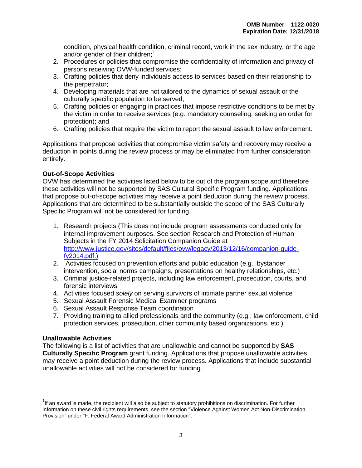condition, physical health condition, criminal record, work in the sex industry, or the age and/or gender of their children;<sup>[1](#page-7-2)</sup>

- 2. Procedures or policies that compromise the confidentiality of information and privacy of persons receiving OVW-funded services;
- 3. Crafting policies that deny individuals access to services based on their relationship to the perpetrator;
- 4. Developing materials that are not tailored to the dynamics of sexual assault or the culturally specific population to be served;
- 5. Crafting policies or engaging in practices that impose restrictive conditions to be met by the victim in order to receive services (e.g. mandatory counseling, seeking an order for protection); and
- 6. Crafting policies that require the victim to report the sexual assault to law enforcement.

Applications that propose activities that compromise victim safety and recovery may receive a deduction in points during the review process or may be eliminated from further consideration entirely.

#### <span id="page-7-0"></span>**Out-of-Scope Activities**

OVW has determined the activities listed below to be out of the program scope and therefore these activities will not be supported by SAS Cultural Specific Program funding. Applications that propose out-of-scope activities may receive a point deduction during the review process. Applications that are determined to be substantially outside the scope of the SAS Culturally Specific Program will not be considered for funding.

- 1. Research projects (This does not include program assessments conducted only for internal improvement purposes. See section Research and Protection of Human Subjects in the FY 2014 Solicitation Companion Guide at [http://www.justice.gov/sites/default/files/ovw/legacy/2013/12/16/companion-guide](http://www.justice.gov/sites/default/files/ovw/legacy/2013/12/16/companion-guide-fy2014.pdf)[fy2014.pdf.](http://www.justice.gov/sites/default/files/ovw/legacy/2013/12/16/companion-guide-fy2014.pdf))
- 2. Activities focused on prevention efforts and public education (e.g., bystander intervention, social norms campaigns, presentations on healthy relationships, etc.)
- 3. Criminal justice-related projects, including law enforcement, prosecution, courts, and forensic interviews
- 4. Activities focused *solely* on serving survivors of intimate partner sexual violence
- 5. Sexual Assault Forensic Medical Examiner programs
- 6. Sexual Assault Response Team coordination
- 7. Providing training to allied professionals and the community (e.g., law enforcement, child protection services, prosecution, other community based organizations, etc.)

#### <span id="page-7-1"></span>**Unallowable Activities**

The following is a list of activities that are unallowable and cannot be supported by **SAS Culturally Specific Program** grant funding. Applications that propose unallowable activities may receive a point deduction during the review process. Applications that include substantial unallowable activities will not be considered for funding.

<span id="page-7-2"></span>1 If an award is made, the recipient will also be subject to statutory prohibitions on discrimination. For further information on these civil rights requirements, see the section "Violence Against Women Act Non-Discrimination Provision" under "F. Federal Award Administration Information".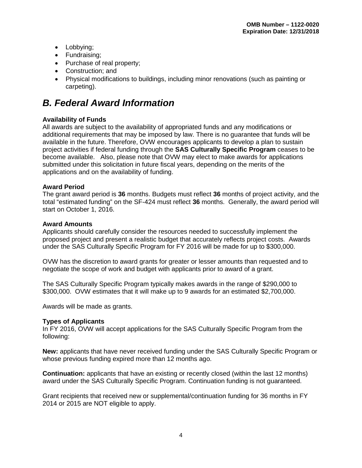- Lobbying;
- Fundraising;
- Purchase of real property;
- Construction; and
- Physical modifications to buildings, including minor renovations (such as painting or carpeting).

# <span id="page-8-0"></span>*B. Federal Award Information*

#### <span id="page-8-1"></span>**Availability of Funds**

All awards are subject to the availability of appropriated funds and any modifications or additional requirements that may be imposed by law. There is no guarantee that funds will be available in the future. Therefore, OVW encourages applicants to develop a plan to sustain project activities if federal funding through the **SAS Culturally Specific Program** ceases to be become available. Also, please note that OVW may elect to make awards for applications submitted under this solicitation in future fiscal years, depending on the merits of the applications and on the availability of funding.

#### <span id="page-8-2"></span>**Award Period**

The grant award period is **36** months. Budgets must reflect **36** months of project activity, and the total "estimated funding" on the SF-424 must reflect **36** months. Generally, the award period will start on October 1, 2016.

#### <span id="page-8-3"></span>**Award Amounts**

Applicants should carefully consider the resources needed to successfully implement the proposed project and present a realistic budget that accurately reflects project costs. Awards under the SAS Culturally Specific Program for FY 2016 will be made for up to \$300,000.

OVW has the discretion to award grants for greater or lesser amounts than requested and to negotiate the scope of work and budget with applicants prior to award of a grant.

The SAS Culturally Specific Program typically makes awards in the range of \$290,000 to \$300,000. OVW estimates that it will make up to 9 awards for an estimated \$2,700,000.

Awards will be made as grants.

#### <span id="page-8-4"></span>**Types of Applicants**

In FY 2016, OVW will accept applications for the SAS Culturally Specific Program from the following:

**New:** applicants that have never received funding under the SAS Culturally Specific Program or whose previous funding expired more than 12 months ago.

**Continuation:** applicants that have an existing or recently closed (within the last 12 months) award under the SAS Culturally Specific Program. Continuation funding is not guaranteed.

Grant recipients that received new or supplemental/continuation funding for 36 months in FY 2014 or 2015 are NOT eligible to apply.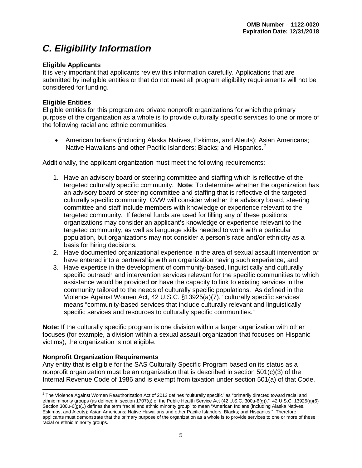# <span id="page-9-0"></span>*C. Eligibility Information*

#### <span id="page-9-1"></span>**Eligible Applicants**

It is very important that applicants review this information carefully. Applications that are submitted by ineligible entities or that do not meet all program eligibility requirements will not be considered for funding.

#### **Eligible Entities**

Eligible entities for this program are private nonprofit organizations for which the primary purpose of the organization as a whole is to provide culturally specific services to one or more of the following racial and ethnic communities:

• American Indians (including Alaska Natives, Eskimos, and Aleuts); Asian Americans; Native Hawaiians and other Pacific Islanders; Blacks; and Hispanics.<sup>[2](#page-9-3)</sup>

Additionally, the applicant organization must meet the following requirements:

- 1. Have an advisory board or steering committee and staffing which is reflective of the targeted culturally specific community. **Note**: To determine whether the organization has an advisory board or steering committee and staffing that is reflective of the targeted culturally specific community, OVW will consider whether the advisory board, steering committee and staff include members with knowledge or experience relevant to the targeted community. If federal funds are used for filling any of these positions, organizations may consider an applicant's knowledge or experience relevant to the targeted community, as well as language skills needed to work with a particular population, but organizations may not consider a person's race and/or ethnicity as a basis for hiring decisions.
- 2. Have documented organizational experience in the area of sexual assault intervention *or* have entered into a partnership with an organization having such experience; and
- 3. Have expertise in the development of community-based, linguistically and culturally specific outreach and intervention services relevant for the specific communities to which assistance would be provided **or** have the capacity to link to existing services in the community tailored to the needs of culturally specific populations. As defined in the Violence Against Women Act, 42 U.S.C. §13925(a)(7), "culturally specific services" means "community-based services that include culturally relevant and linguistically specific services and resources to culturally specific communities."

**Note:** If the culturally specific program is one division within a larger organization with other focuses (for example, a division within a sexual assault organization that focuses on Hispanic victims), the organization is not eligible.

#### <span id="page-9-2"></span>**Nonprofit Organization Requirements**

Any entity that is eligible for the SAS Culturally Specific Program based on its status as a nonprofit organization must be an organization that is described in section 501(c)(3) of the Internal Revenue Code of 1986 and is exempt from taxation under section 501(a) of that Code.

<span id="page-9-3"></span> $2$  The Violence Against Women Reauthorization Act of 2013 defines "culturally specific" as "primarily directed toward racial and ethnic minority groups (as defined in section 1707(g) of the Public Health Service Act (42 U.S.C. 300u-6(g))." 42 U.S.C. 13925(a)(6) Section 300u-6(g)(1) defines the term "racial and ethnic minority group" to mean "American Indians (including Alaska Natives, Eskimos, and Aleuts); Asian Americans; Native Hawaiians and other Pacific Islanders; Blacks; and Hispanics." Therefore, applicants must demonstrate that the primary purpose of the organization as a whole is to provide services to one or more of these racial or ethnic minority groups.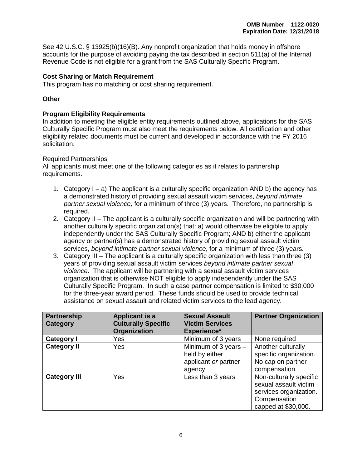See 42 U.S.C. § 13925(b)(16)(B). Any nonprofit organization that holds money in offshore accounts for the purpose of avoiding paying the tax described in section 511(a) of the Internal Revenue Code is not eligible for a grant from the SAS Culturally Specific Program.

#### <span id="page-10-0"></span>**Cost Sharing or Match Requirement**

This program has no matching or cost sharing requirement.

#### <span id="page-10-2"></span><span id="page-10-1"></span>**Other**

#### **Program Eligibility Requirements**

In addition to meeting the eligible entity requirements outlined above, applications for the SAS Culturally Specific Program must also meet the requirements below. All certification and other eligibility related documents must be current and developed in accordance with the FY 2016 solicitation.

#### Required Partnerships

All applicants must meet one of the following categories as it relates to partnership requirements.

- 1. Category  $I a$ ) The applicant is a culturally specific organization AND b) the agency has a demonstrated history of providing sexual assault victim services, *beyond intimate partner sexual violence,* for a minimum of three (3) years. Therefore, no partnership is required.
- 2. Category II The applicant is a culturally specific organization and will be partnering with another culturally specific organization(s) that: a) would otherwise be eligible to apply independently under the SAS Culturally Specific Program; AND b) either the applicant agency or partner(s) has a demonstrated history of providing sexual assault victim services, *beyond intimate partner sexual violence*, for a minimum of three (3) years.
- 3. Category III The applicant is a culturally specific organization with less than three (3) years of providing sexual assault victim services *beyond intimate partner sexual violence*. The applicant will be partnering with a sexual assault victim services organization that is otherwise NOT eligible to apply independently under the SAS Culturally Specific Program. In such a case partner compensation is limited to \$30,000 for the three-year award period. These funds should be used to provide technical assistance on sexual assault and related victim services to the lead agency.

| Partnership<br>Category | <b>Applicant is a</b><br><b>Culturally Specific</b> | <b>Sexual Assault</b><br><b>Victim Services</b>                            | <b>Partner Organization</b>                                                                                       |
|-------------------------|-----------------------------------------------------|----------------------------------------------------------------------------|-------------------------------------------------------------------------------------------------------------------|
|                         | Organization                                        | <b>Experience*</b>                                                         |                                                                                                                   |
| <b>Category I</b>       | Yes                                                 | Minimum of 3 years                                                         | None required                                                                                                     |
| <b>Category II</b>      | Yes                                                 | Minimum of 3 years $-$<br>held by either<br>applicant or partner<br>agency | Another culturally<br>specific organization.<br>No cap on partner<br>compensation.                                |
| <b>Category III</b>     | Yes                                                 | Less than 3 years                                                          | Non-culturally specific<br>sexual assault victim<br>services organization.<br>Compensation<br>capped at \$30,000. |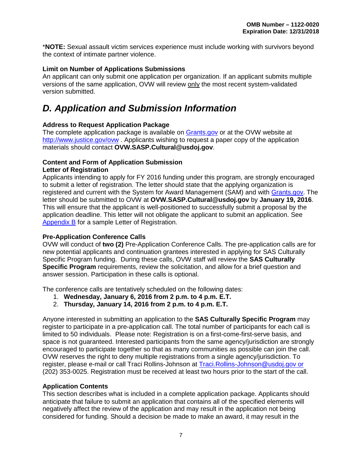\***NOTE:** Sexual assault victim services experience must include working with survivors beyond the context of intimate partner violence.

#### <span id="page-11-2"></span>**Limit on Number of Applications Submissions**

An applicant can only submit one application per organization. If an applicant submits multiple versions of the same application, OVW will review only the most recent system-validated version submitted.

# <span id="page-11-3"></span>*D. Application and Submission Information*

#### <span id="page-11-4"></span>**Address to Request Application Package**

The complete application package is available on [Grants.gov](http://www.grants.gov/) or at the OVW website at <http://www.justice.gov/ovw> . Applicants wishing to request a paper copy of the application materials should contact **OVW.SASP.Cultural@usdoj.gov**.

#### <span id="page-11-6"></span><span id="page-11-5"></span><span id="page-11-1"></span><span id="page-11-0"></span>**Content and Form of Application Submission Letter of Registration**

Applicants intending to apply for FY 2016 funding under this program, are strongly encouraged to submit a letter of registration. The letter should state that the applying organization is registered and current with the System for Award Management (SAM) and with [Grants.gov.](http://www.grants.gov/) The letter should be submitted to OVW at **OVW.SASP.Cultural@usdoj.gov** by **January 19, 2016**. This will ensure that the applicant is well-positioned to successfully submit a proposal by the application deadline. This letter will not obligate the applicant to submit an application. See [Appendix](#page-47-0) B for a sample Letter of Registration.

#### <span id="page-11-7"></span>**Pre-Application Conference Calls**

OVW will conduct of **two (2)** Pre-Application Conference Calls. The pre-application calls are for new potential applicants and continuation grantees interested in applying for SAS Culturally Specific Program funding. During these calls, OVW staff will review the **SAS Culturally Specific Program** requirements, review the solicitation, and allow for a brief question and answer session. Participation in these calls is optional.

The conference calls are tentatively scheduled on the following dates:

- 1. **Wednesday, January 6, 2016 from 2 p.m. to 4 p.m. E.T.**
- 2. **Thursday, January 14, 2016 from 2 p.m. to 4 p.m. E.T.**

Anyone interested in submitting an application to the **SAS Culturally Specific Program** may register to participate in a pre-application call. The total number of participants for each call is limited to 50 individuals. Please note: Registration is on a first-come-first-serve basis, and space is not guaranteed. Interested participants from the same agency/jurisdiction are strongly encouraged to participate together so that as many communities as possible can join the call. OVW reserves the right to deny multiple registrations from a single agency/jurisdiction. To register, please e-mail or call Traci Rollins-Johnson at [Traci.Rollins-Johnson@usdoj.gov](mailto:Traci.Rollins-Johnson@usdoj.gov) or (202) 353-0025. Registration must be received at least two hours prior to the start of the call.

#### <span id="page-11-8"></span>**Application Contents**

This section describes what is included in a complete application package. Applicants should anticipate that failure to submit an application that contains all of the specified elements will negatively affect the review of the application and may result in the application not being considered for funding. Should a decision be made to make an award, it may result in the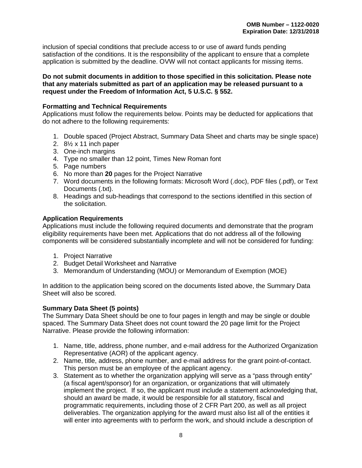inclusion of special conditions that preclude access to or use of award funds pending satisfaction of the conditions. It is the responsibility of the applicant to ensure that a complete application is submitted by the deadline. OVW will not contact applicants for missing items.

#### **Do not submit documents in addition to those specified in this solicitation. Please note that any materials submitted as part of an application may be released pursuant to a request under the Freedom of Information Act, 5 U.S.C. § 552.**

#### <span id="page-12-0"></span>**Formatting and Technical Requirements**

Applications must follow the requirements below. Points may be deducted for applications that do not adhere to the following requirements:

- 1. Double spaced (Project Abstract, Summary Data Sheet and charts may be single space)
- 2. 8½ x 11 inch paper
- 3. One-inch margins
- 4. Type no smaller than 12 point, Times New Roman font
- 5. Page numbers
- 6. No more than **20** pages for the Project Narrative
- 7. Word documents in the following formats: Microsoft Word (.doc), PDF files (.pdf), or Text Documents (.txt).
- 8. Headings and sub-headings that correspond to the sections identified in this section of the solicitation.

#### <span id="page-12-1"></span>**Application Requirements**

Applications must include the following required documents and demonstrate that the program eligibility requirements have been met. Applications that do not address all of the following components will be considered substantially incomplete and will not be considered for funding:

- 1. Project Narrative
- 2. Budget Detail Worksheet and Narrative
- 3. Memorandum of Understanding (MOU) or Memorandum of Exemption (MOE)

In addition to the application being scored on the documents listed above, the Summary Data Sheet will also be scored.

#### <span id="page-12-2"></span>**Summary Data Sheet (5 points)**

The Summary Data Sheet should be one to four pages in length and may be single or double spaced. The Summary Data Sheet does not count toward the 20 page limit for the Project Narrative. Please provide the following information:

- 1. Name, title, address, phone number, and e-mail address for the Authorized Organization Representative (AOR) of the applicant agency.
- 2. Name, title, address, phone number, and e-mail address for the grant point-of-contact. This person must be an employee of the applicant agency.
- 3. Statement as to whether the organization applying will serve as a "pass through entity" (a fiscal agent/sponsor) for an organization, or organizations that will ultimately implement the project. If so, the applicant must include a statement acknowledging that, should an award be made, it would be responsible for all statutory, fiscal and programmatic requirements, including those of 2 CFR Part 200, as well as all project deliverables. The organization applying for the award must also list all of the entities it will enter into agreements with to perform the work, and should include a description of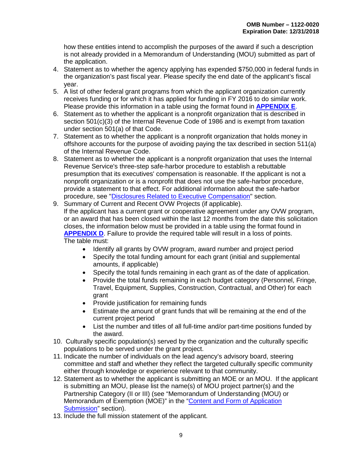how these entities intend to accomplish the purposes of the award if such a description is not already provided in a Memorandum of Understanding (MOU) submitted as part of the application.

- 4. Statement as to whether the agency applying has expended \$750,000 in federal funds in the organization's past fiscal year. Please specify the end date of the applicant's fiscal year.
- 5. A list of other federal grant programs from which the applicant organization currently receives funding or for which it has applied for funding in FY 2016 to do similar work. Please provide this information in a table using the format found in **[APPENDIX E](#page-53-0)**.
- 6. Statement as to whether the applicant is a nonprofit organization that is described in section 501(c)(3) of the Internal Revenue Code of 1986 and is exempt from taxation under section 501(a) of that Code.
- 7. Statement as to whether the applicant is a nonprofit organization that holds money in offshore accounts for the purpose of avoiding paying the tax described in section 511(a) of the Internal Revenue Code.
- 8. Statement as to whether the applicant is a nonprofit organization that uses the Internal Revenue Service's three-step safe-harbor procedure to establish a rebuttable presumption that its executives' compensation is reasonable. If the applicant is not a nonprofit organization or is a nonprofit that does not use the safe-harbor procedure, provide a statement to that effect. For additional information about the safe-harbor procedure, see ["Disclosures Related to Executive Compensation"](#page-24-6) section.
- 9. Summary of Current and Recent OVW Projects (if applicable). If the applicant has a current grant or cooperative agreement under any OVW program, or an award that has been closed within the last 12 months from the date this solicitation closes, the information below must be provided in a table using the format found in **[APPENDIX D](#page-51-0)**. Failure to provide the required table will result in a loss of points. The table must:
	- Identify all grants by OVW program, award number and project period
	- Specify the total funding amount for each grant (initial and supplemental amounts, if applicable)
	- Specify the total funds remaining in each grant as of the date of application.
	- Provide the total funds remaining in each budget category (Personnel, Fringe, Travel, Equipment, Supplies, Construction, Contractual, and Other) for each grant
	- Provide justification for remaining funds
	- Estimate the amount of grant funds that will be remaining at the end of the current project period
	- List the number and titles of all full-time and/or part-time positions funded by the award.
- 10. Culturally specific population(s) served by the organization and the culturally specific populations to be served under the grant project.
- 11. Indicate the number of individuals on the lead agency's advisory board, steering committee and staff and whether they reflect the targeted culturally specific community either through knowledge or experience relevant to that community.
- 12. Statement as to whether the applicant is submitting an MOE or an MOU. If the applicant is submitting an MOU, please list the name(s) of MOU project partner(s) and the Partnership Category (II or III) (see "Memorandum of Understanding (MOU) or Memorandum of Exemption (MOE)" in the ["Content and Form of Application](#page-11-1)  [Submission"](#page-11-1) section).
- 13. Include the full mission statement of the applicant.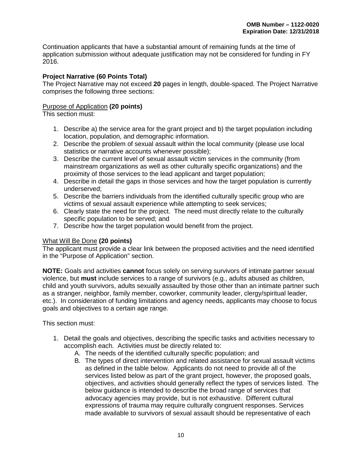Continuation applicants that have a substantial amount of remaining funds at the time of application submission without adequate justification may not be considered for funding in FY 2016.

#### <span id="page-14-0"></span>**Project Narrative (60 Points Total)**

The Project Narrative may not exceed **20** pages in length, double-spaced. The Project Narrative comprises the following three sections:

#### Purpose of Application **(20 points)**

This section must:

- 1. Describe a) the service area for the grant project and b) the target population including location, population, and demographic information.
- 2. Describe the problem of sexual assault within the local community (please use local statistics or narrative accounts whenever possible);
- 3. Describe the current level of sexual assault victim services in the community (from mainstream organizations as well as other culturally specific organizations) and the proximity of those services to the lead applicant and target population;
- 4. Describe in detail the gaps in those services and how the target population is currently underserved;
- 5. Describe the barriers individuals from the identified culturally specific group who are victims of sexual assault experience while attempting to seek services;
- 6. Clearly state the need for the project. The need must directly relate to the culturally specific population to be served; and
- 7. Describe how the target population would benefit from the project.

#### What Will Be Done **(20 points)**

The applicant must provide a clear link between the proposed activities and the need identified in the "Purpose of Application" section.

**NOTE:** Goals and activities **cannot** focus solely on serving survivors of intimate partner sexual violence, but **must** include services to a range of survivors (e.g., adults abused as children, child and youth survivors, adults sexually assaulted by those other than an intimate partner such as a stranger, neighbor, family member, coworker, community leader, clergy/spiritual leader, etc.). In consideration of funding limitations and agency needs, applicants may choose to focus goals and objectives to a certain age range.

This section must:

- 1. Detail the goals and objectives, describing the specific tasks and activities necessary to accomplish each. Activities must be directly related to:
	- A. The needs of the identified culturally specific population; and
	- B. The types of direct intervention and related assistance for sexual assault victims as defined in the table below. Applicants do not need to provide all of the services listed below as part of the grant project, however, the proposed goals, objectives, and activities should generally reflect the types of services listed. The below guidance is intended to describe the broad range of services that advocacy agencies may provide, but is not exhaustive. Different cultural expressions of trauma may require culturally congruent responses. Services made available to survivors of sexual assault should be representative of each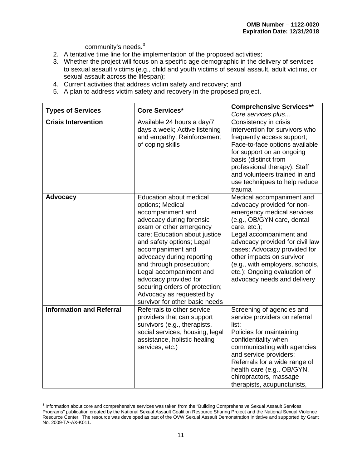community's needs.<sup>[3](#page-15-0)</sup>

- 2. A tentative time line for the implementation of the proposed activities;
- 3. Whether the project will focus on a specific age demographic in the delivery of services to sexual assault victims (e.g., child and youth victims of sexual assault, adult victims, or sexual assault across the lifespan);
- 4. Current activities that address victim safety and recovery; and
- 5. A plan to address victim safety and recovery in the proposed project.

| <b>Types of Services</b>        | <b>Core Services*</b>                                                                                                                                                                                                                                                                                                                                                                                                          | <b>Comprehensive Services**</b>                                                                                                                                                                                                                                                                                                                                  |
|---------------------------------|--------------------------------------------------------------------------------------------------------------------------------------------------------------------------------------------------------------------------------------------------------------------------------------------------------------------------------------------------------------------------------------------------------------------------------|------------------------------------------------------------------------------------------------------------------------------------------------------------------------------------------------------------------------------------------------------------------------------------------------------------------------------------------------------------------|
|                                 |                                                                                                                                                                                                                                                                                                                                                                                                                                | Core services plus                                                                                                                                                                                                                                                                                                                                               |
| <b>Crisis Intervention</b>      | Available 24 hours a day/7<br>days a week; Active listening<br>and empathy; Reinforcement<br>of coping skills                                                                                                                                                                                                                                                                                                                  | Consistency in crisis<br>intervention for survivors who<br>frequently access support;<br>Face-to-face options available<br>for support on an ongoing<br>basis (distinct from<br>professional therapy); Staff<br>and volunteers trained in and<br>use techniques to help reduce<br>trauma                                                                         |
| <b>Advocacy</b>                 | <b>Education about medical</b><br>options; Medical<br>accompaniment and<br>advocacy during forensic<br>exam or other emergency<br>care; Education about justice<br>and safety options; Legal<br>accompaniment and<br>advocacy during reporting<br>and through prosecution;<br>Legal accompaniment and<br>advocacy provided for<br>securing orders of protection;<br>Advocacy as requested by<br>survivor for other basic needs | Medical accompaniment and<br>advocacy provided for non-<br>emergency medical services<br>(e.g., OB/GYN care, dental<br>care, etc.);<br>Legal accompaniment and<br>advocacy provided for civil law<br>cases; Advocacy provided for<br>other impacts on survivor<br>(e.g., with employers, schools,<br>etc.); Ongoing evaluation of<br>advocacy needs and delivery |
| <b>Information and Referral</b> | Referrals to other service<br>providers that can support<br>survivors (e.g., therapists,<br>social services, housing, legal<br>assistance, holistic healing<br>services, etc.)                                                                                                                                                                                                                                                 | Screening of agencies and<br>service providers on referral<br>list:<br>Policies for maintaining<br>confidentiality when<br>communicating with agencies<br>and service providers;<br>Referrals for a wide range of<br>health care (e.g., OB/GYN,<br>chiropractors, massage<br>therapists, acupuncturists,                                                         |

<span id="page-15-0"></span><sup>&</sup>lt;sup>3</sup> Information about core and comprehensive services was taken from the "Building Comprehensive Sexual Assault Services Programs" publication created by the National Sexual Assault Coalition Resource Sharing Project and the National Sexual Violence Resource Center. The resource was developed as part of the OVW Sexual Assault Demonstration Initiative and supported by Grant No. 2009-TA-AX-K011.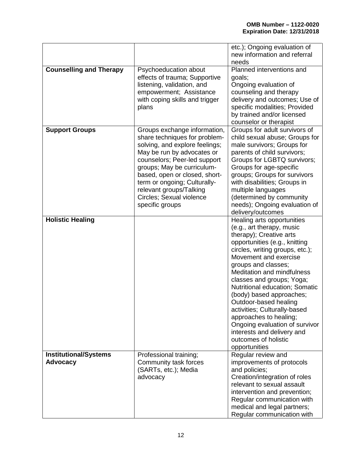|                                                 |                                                            | etc.); Ongoing evaluation of<br>new information and referral |
|-------------------------------------------------|------------------------------------------------------------|--------------------------------------------------------------|
|                                                 |                                                            | needs                                                        |
| <b>Counselling and Therapy</b>                  | Psychoeducation about                                      | Planned interventions and                                    |
|                                                 | effects of trauma; Supportive                              | goals;                                                       |
|                                                 | listening, validation, and                                 | Ongoing evaluation of                                        |
|                                                 | empowerment; Assistance                                    | counseling and therapy                                       |
|                                                 | with coping skills and trigger                             | delivery and outcomes; Use of                                |
|                                                 | plans                                                      | specific modalities; Provided                                |
|                                                 |                                                            | by trained and/or licensed                                   |
|                                                 |                                                            | counselor or therapist                                       |
| <b>Support Groups</b>                           | Groups exchange information,                               | Groups for adult survivors of                                |
|                                                 | share techniques for problem-                              | child sexual abuse; Groups for                               |
|                                                 | solving, and explore feelings;                             | male survivors; Groups for                                   |
|                                                 | May be run by advocates or<br>counselors; Peer-led support | parents of child survivors;<br>Groups for LGBTQ survivors;   |
|                                                 | groups; May be curriculum-                                 | Groups for age-specific                                      |
|                                                 | based, open or closed, short-                              | groups; Groups for survivors                                 |
|                                                 | term or ongoing; Culturally-                               | with disabilities; Groups in                                 |
|                                                 | relevant groups/Talking                                    | multiple languages                                           |
|                                                 | Circles; Sexual violence                                   | (determined by community                                     |
|                                                 | specific groups                                            | needs); Ongoing evaluation of                                |
|                                                 |                                                            | delivery/outcomes                                            |
| <b>Holistic Healing</b>                         |                                                            | Healing arts opportunities                                   |
|                                                 |                                                            | (e.g., art therapy, music                                    |
|                                                 |                                                            | therapy); Creative arts                                      |
|                                                 |                                                            | opportunities (e.g., knitting                                |
|                                                 |                                                            | circles, writing groups, etc.);                              |
|                                                 |                                                            | Movement and exercise                                        |
|                                                 |                                                            | groups and classes;                                          |
|                                                 |                                                            | Meditation and mindfulness                                   |
|                                                 |                                                            | classes and groups; Yoga;                                    |
|                                                 |                                                            | Nutritional education; Somatic                               |
|                                                 |                                                            | (body) based approaches;                                     |
|                                                 |                                                            | Outdoor-based healing                                        |
|                                                 |                                                            | activities; Culturally-based                                 |
|                                                 |                                                            | approaches to healing;                                       |
|                                                 |                                                            | Ongoing evaluation of survivor                               |
|                                                 |                                                            | interests and delivery and                                   |
|                                                 |                                                            | outcomes of holistic                                         |
|                                                 |                                                            | opportunities                                                |
| <b>Institutional/Systems</b><br><b>Advocacy</b> | Professional training;<br>Community task forces            | Regular review and<br>improvements of protocols              |
|                                                 | (SARTs, etc.); Media                                       | and policies;                                                |
|                                                 | advocacy                                                   | Creation/integration of roles                                |
|                                                 |                                                            | relevant to sexual assault                                   |
|                                                 |                                                            | intervention and prevention;                                 |
|                                                 |                                                            | Regular communication with                                   |
|                                                 |                                                            | medical and legal partners;                                  |
|                                                 |                                                            | Regular communication with                                   |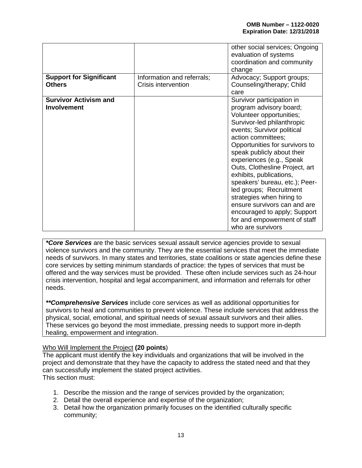| <b>Support for Significant</b><br><b>Others</b>    | Information and referrals;<br>Crisis intervention | other social services; Ongoing<br>evaluation of systems<br>coordination and community<br>change<br>Advocacy; Support groups;<br>Counseling/therapy; Child<br>care                                                                                                                                                                                                                                                                                                                                                                          |
|----------------------------------------------------|---------------------------------------------------|--------------------------------------------------------------------------------------------------------------------------------------------------------------------------------------------------------------------------------------------------------------------------------------------------------------------------------------------------------------------------------------------------------------------------------------------------------------------------------------------------------------------------------------------|
| <b>Survivor Activism and</b><br><b>Involvement</b> |                                                   | Survivor participation in<br>program advisory board;<br>Volunteer opportunities;<br>Survivor-led philanthropic<br>events; Survivor political<br>action committees;<br>Opportunities for survivors to<br>speak publicly about their<br>experiences (e.g., Speak<br>Outs, Clothesline Project, art<br>exhibits, publications,<br>speakers' bureau, etc.); Peer-<br>led groups; Recruitment<br>strategies when hiring to<br>ensure survivors can and are<br>encouraged to apply; Support<br>for and empowerment of staff<br>who are survivors |

*\*Core Services* are the basic services sexual assault service agencies provide to sexual violence survivors and the community. They are the essential services that meet the immediate needs of survivors. In many states and territories, state coalitions or state agencies define these core services by setting minimum standards of practice: the types of services that must be offered and the way services must be provided. These often include services such as 24-hour crisis intervention, hospital and legal accompaniment, and information and referrals for other needs.

*\*\*Comprehensive Services* include core services as well as additional opportunities for survivors to heal and communities to prevent violence. These include services that address the physical, social, emotional, and spiritual needs of sexual assault survivors and their allies. These services go beyond the most immediate, pressing needs to support more in-depth healing, empowerment and integration.

#### Who Will Implement the Project **(20 points**)

The applicant must identify the key individuals and organizations that will be involved in the project and demonstrate that they have the capacity to address the stated need and that they can successfully implement the stated project activities. This section must:

- 1. Describe the mission and the range of services provided by the organization;
- 2. Detail the overall experience and expertise of the organization;
- 3. Detail how the organization primarily focuses on the identified culturally specific community;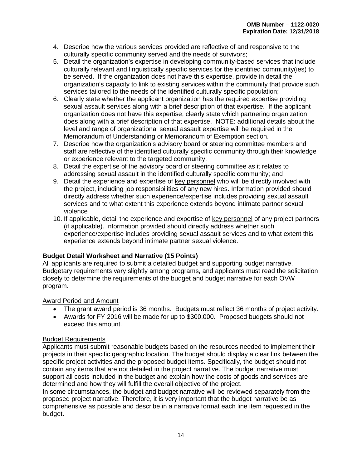- 4. Describe how the various services provided are reflective of and responsive to the culturally specific community served and the needs of survivors;
- 5. Detail the organization's expertise in developing community-based services that include culturally relevant and linguistically specific services for the identified community(ies) to be served. If the organization does not have this expertise, provide in detail the organization's capacity to link to existing services within the community that provide such services tailored to the needs of the identified culturally specific population;
- 6. Clearly state whether the applicant organization has the required expertise providing sexual assault services along with a brief description of that expertise. If the applicant organization does not have this expertise, clearly state which partnering organization does along with a brief description of that expertise. NOTE: additional details about the level and range of organizational sexual assault expertise will be required in the Memorandum of Understanding or Memorandum of Exemption section.
- 7. Describe how the organization's advisory board or steering committee members and staff are reflective of the identified culturally specific community through their knowledge or experience relevant to the targeted community;
- 8. Detail the expertise of the advisory board or steering committee as it relates to addressing sexual assault in the identified culturally specific community; and
- 9. Detail the experience and expertise of key personnel who will be directly involved with the project, including job responsibilities of any new hires. Information provided should directly address whether such experience/expertise includes providing sexual assault services and to what extent this experience extends beyond intimate partner sexual violence
- 10. If applicable, detail the experience and expertise of key personnel of any project partners (if applicable). Information provided should directly address whether such experience/expertise includes providing sexual assault services and to what extent this experience extends beyond intimate partner sexual violence.

#### <span id="page-18-0"></span>**Budget Detail Worksheet and Narrative (15 Points)**

All applicants are required to submit a detailed budget and supporting budget narrative. Budgetary requirements vary slightly among programs, and applicants must read the solicitation closely to determine the requirements of the budget and budget narrative for each OVW program.

#### Award Period and Amount

- The grant award period is 36 months. Budgets must reflect 36 months of project activity.
- Awards for FY 2016 will be made for up to \$300,000. Proposed budgets should not exceed this amount.

#### Budget Requirements

Applicants must submit reasonable budgets based on the resources needed to implement their projects in their specific geographic location. The budget should display a clear link between the specific project activities and the proposed budget items. Specifically, the budget should not contain any items that are not detailed in the project narrative. The budget narrative must support all costs included in the budget and explain how the costs of goods and services are determined and how they will fulfill the overall objective of the project.

In some circumstances, the budget and budget narrative will be reviewed separately from the proposed project narrative. Therefore, it is very important that the budget narrative be as comprehensive as possible and describe in a narrative format each line item requested in the budget.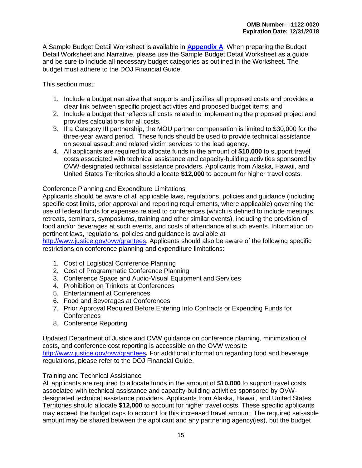A Sample Budget Detail Worksheet is available in **[Appendix](#page-37-0) A**. When preparing the Budget Detail Worksheet and Narrative, please use the Sample Budget Detail Worksheet as a guide and be sure to include all necessary budget categories as outlined in the Worksheet. The budget must adhere to the DOJ Financial Guide.

This section must:

- 1. Include a budget narrative that supports and justifies all proposed costs and provides a clear link between specific project activities and proposed budget items; and
- 2. Include a budget that reflects all costs related to implementing the proposed project and provides calculations for all costs.
- 3. If a Category III partnership, the MOU partner compensation is limited to \$30,000 for the three-year award period. These funds should be used to provide technical assistance on sexual assault and related victim services to the lead agency.
- 4. All applicants are required to allocate funds in the amount of **\$10,000** to support travel costs associated with technical assistance and capacity-building activities sponsored by OVW-designated technical assistance providers. Applicants from Alaska, Hawaii, and United States Territories should allocate **\$12,000** to account for higher travel costs.

#### Conference Planning and Expenditure Limitations

Applicants should be aware of all applicable laws, regulations, policies and guidance (including specific cost limits, prior approval and reporting requirements, where applicable) governing the use of federal funds for expenses related to conferences (which is defined to include meetings, retreats, seminars, symposiums, training and other similar events), including the provision of food and/or beverages at such events, and costs of attendance at such events. Information on pertinent laws, regulations, policies and guidance is available at

[http://www.justice.gov/ovw/grantees.](http://www.justice.gov/ovw/grantees) Applicants should also be aware of the following specific restrictions on conference planning and expenditure limitations:

- 1. Cost of Logistical Conference Planning
- 2. Cost of Programmatic Conference Planning
- 3. Conference Space and Audio-Visual Equipment and Services
- 4. Prohibition on Trinkets at Conferences
- 5. Entertainment at Conferences
- 6. Food and Beverages at Conferences
- 7. Prior Approval Required Before Entering Into Contracts or Expending Funds for **Conferences**
- 8. Conference Reporting

Updated Department of Justice and OVW guidance on conference planning, minimization of costs, and conference cost reporting is accessible on the OVW website <http://www.justice.gov/ovw/grantees>**.** For additional information regarding food and beverage regulations, please refer to the DOJ Financial Guide.

#### Training and Technical Assistance

All applicants are required to allocate funds in the amount of **\$10,000** to support travel costs associated with technical assistance and capacity-building activities sponsored by OVWdesignated technical assistance providers. Applicants from Alaska, Hawaii, and United States Territories should allocate **\$12,000** to account for higher travel costs. These specific applicants may exceed the budget caps to account for this increased travel amount. The required set-aside amount may be shared between the applicant and any partnering agency(ies), but the budget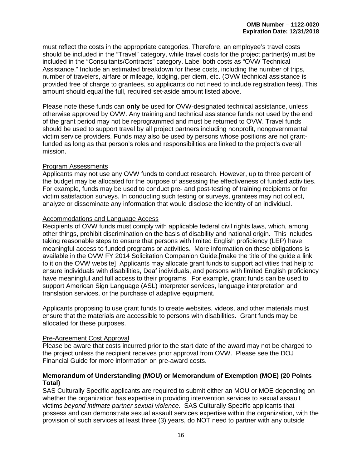must reflect the costs in the appropriate categories. Therefore, an employee's travel costs should be included in the "Travel" category, while travel costs for the project partner(s) must be included in the "Consultants/Contracts" category. Label both costs as "OVW Technical Assistance." Include an estimated breakdown for these costs, including the number of trips, number of travelers, airfare or mileage, lodging, per diem, etc. (OVW technical assistance is provided free of charge to grantees, so applicants do not need to include registration fees). This amount should equal the full, required set-aside amount listed above.

Please note these funds can **only** be used for OVW-designated technical assistance, unless otherwise approved by OVW. Any training and technical assistance funds not used by the end of the grant period may not be reprogrammed and must be returned to OVW. Travel funds should be used to support travel by all project partners including nonprofit, nongovernmental victim service providers. Funds may also be used by persons whose positions are not grantfunded as long as that person's roles and responsibilities are linked to the project's overall mission.

#### Program Assessments

Applicants may not use any OVW funds to conduct research. However, up to three percent of the budget may be allocated for the purpose of assessing the effectiveness of funded activities. For example, funds may be used to conduct pre- and post-testing of training recipients or for victim satisfaction surveys. In conducting such testing or surveys, grantees may not collect, analyze or disseminate any information that would disclose the identity of an individual.

#### Accommodations and Language Access

Recipients of OVW funds must comply with applicable federal civil rights laws, which, among other things, prohibit discrimination on the basis of disability and national origin. This includes taking reasonable steps to ensure that persons with limited English proficiency (LEP) have meaningful access to funded programs or activities. More information on these obligations is available in the OVW FY 2014 Solicitation Companion Guide.[make the title of the guide a link to it on the OVW website] Applicants may allocate grant funds to support activities that help to ensure individuals with disabilities, Deaf individuals, and persons with limited English proficiency have meaningful and full access to their programs. For example, grant funds can be used to support American Sign Language (ASL) interpreter services, language interpretation and translation services, or the purchase of adaptive equipment.

Applicants proposing to use grant funds to create websites, videos, and other materials must ensure that the materials are accessible to persons with disabilities. Grant funds may be allocated for these purposes.

#### Pre-Agreement Cost Approval

Please be aware that costs incurred prior to the start date of the award may not be charged to the project unless the recipient receives prior approval from OVW. Please see the DOJ Financial Guide for more information on pre-award costs.

#### <span id="page-20-0"></span>**Memorandum of Understanding (MOU) or Memorandum of Exemption (MOE) (20 Points Total)**

SAS Culturally Specific applicants are required to submit either an MOU or MOE depending on whether the organization has expertise in providing intervention services to sexual assault victims *beyond intimate partner sexual violence*. SAS Culturally Specific applicants that possess and can demonstrate sexual assault services expertise within the organization, with the provision of such services at least three (3) years, do NOT need to partner with any outside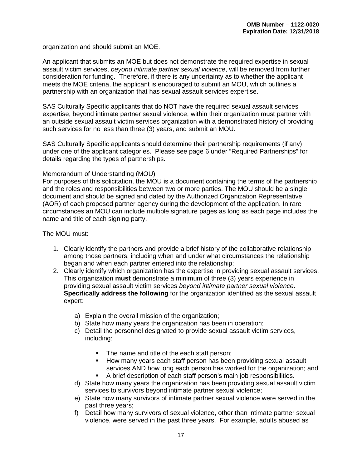organization and should submit an MOE.

An applicant that submits an MOE but does not demonstrate the required expertise in sexual assault victim services, *beyond intimate partner sexual violence*, will be removed from further consideration for funding. Therefore, if there is any uncertainty as to whether the applicant meets the MOE criteria, the applicant is encouraged to submit an MOU, which outlines a partnership with an organization that has sexual assault services expertise.

SAS Culturally Specific applicants that do NOT have the required sexual assault services expertise, beyond intimate partner sexual violence, within their organization must partner with an outside sexual assault victim services organization with a demonstrated history of providing such services for no less than three (3) years, and submit an MOU.

SAS Culturally Specific applicants should determine their partnership requirements (if any) under one of the applicant categories. Please see page 6 under "Required Partnerships" for details regarding the types of partnerships.

#### Memorandum of Understanding (MOU)

For purposes of this solicitation, the MOU is a document containing the terms of the partnership and the roles and responsibilities between two or more parties. The MOU should be a single document and should be signed and dated by the Authorized Organization Representative (AOR) of each proposed partner agency during the development of the application. In rare circumstances an MOU can include multiple signature pages as long as each page includes the name and title of each signing party.

The MOU must:

- 1. Clearly identify the partners and provide a brief history of the collaborative relationship among those partners, including when and under what circumstances the relationship began and when each partner entered into the relationship;
- 2. Clearly identify which organization has the expertise in providing sexual assault services. This organization **must** demonstrate a minimum of three (3) years experience in providing sexual assault victim services *beyond intimate partner sexual violence*. **Specifically address the following** for the organization identified as the sexual assault expert:
	- a) Explain the overall mission of the organization;
	- b) State how many years the organization has been in operation;
	- c) Detail the personnel designated to provide sexual assault victim services, including:
		- The name and title of the each staff person;
		- How many years each staff person has been providing sexual assault services AND how long each person has worked for the organization; and
		- A brief description of each staff person's main job responsibilities.
	- d) State how many years the organization has been providing sexual assault victim services to survivors beyond intimate partner sexual violence;
	- e) State how many survivors of intimate partner sexual violence were served in the past three years;
	- f) Detail how many survivors of sexual violence, other than intimate partner sexual violence, were served in the past three years. For example, adults abused as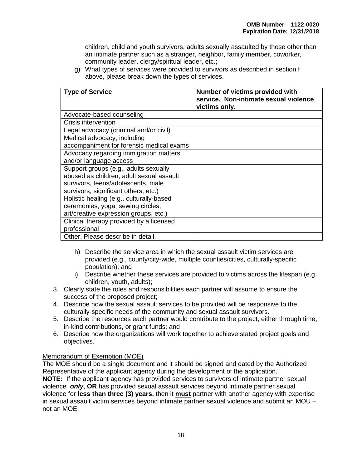children, child and youth survivors, adults sexually assaulted by those other than an intimate partner such as a stranger, neighbor, family member, coworker, community leader, clergy/spiritual leader, etc.;

g) What types of services were provided to survivors as described in section f above, please break down the types of services.

| <b>Type of Service</b>                   | Number of victims provided with<br>service. Non-intimate sexual violence<br>victims only. |
|------------------------------------------|-------------------------------------------------------------------------------------------|
| Advocate-based counseling                |                                                                                           |
| <b>Crisis intervention</b>               |                                                                                           |
| Legal advocacy (criminal and/or civil)   |                                                                                           |
| Medical advocacy, including              |                                                                                           |
| accompaniment for forensic medical exams |                                                                                           |
| Advocacy regarding immigration matters   |                                                                                           |
| and/or language access                   |                                                                                           |
| Support groups (e.g., adults sexually    |                                                                                           |
| abused as children, adult sexual assault |                                                                                           |
| survivors, teens/adolescents, male       |                                                                                           |
| survivors, significant others, etc.)     |                                                                                           |
| Holistic healing (e.g., culturally-based |                                                                                           |
| ceremonies, yoga, sewing circles,        |                                                                                           |
| art/creative expression groups, etc.)    |                                                                                           |
| Clinical therapy provided by a licensed  |                                                                                           |
| professional                             |                                                                                           |
| Other. Please describe in detail.        |                                                                                           |

- h) Describe the service area in which the sexual assault victim services are provided (e.g., county/city-wide, multiple counties/cities, culturally-specific population); and
- i) Describe whether these services are provided to victims across the lifespan (e.g. children, youth, adults);
- 3. Clearly state the roles and responsibilities each partner will assume to ensure the success of the proposed project;
- 4. Describe how the sexual assault services to be provided will be responsive to the culturally-specific needs of the community and sexual assault survivors.
- 5. Describe the resources each partner would contribute to the project, either through time, in-kind contributions, or grant funds; and
- 6. Describe how the organizations will work together to achieve stated project goals and objectives.

#### Memorandum of Exemption (MOE)

The MOE should be a single document and it should be signed and dated by the Authorized Representative of the applicant agency during the development of the application. **NOTE:** If the applicant agency has provided services to survivors of intimate partner sexual violence *only*, **OR** has provided sexual assault services beyond intimate partner sexual violence for **less than three (3) years,** then it **must** partner with another agency with expertise in sexual assault victim services beyond intimate partner sexual violence and submit an MOU – not an MOE.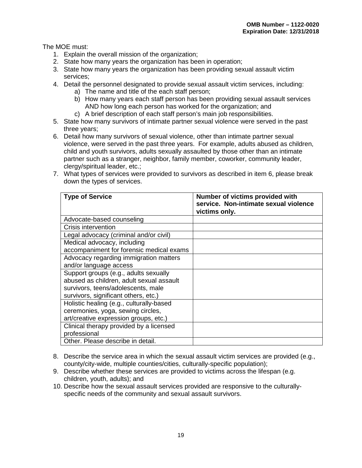The MOE must:

- 1. Explain the overall mission of the organization;
- 2. State how many years the organization has been in operation;
- 3. State how many years the organization has been providing sexual assault victim services;
- 4. Detail the personnel designated to provide sexual assault victim services, including:
	- a) The name and title of the each staff person;
	- b) How many years each staff person has been providing sexual assault services AND how long each person has worked for the organization; and
	- c) A brief description of each staff person's main job responsibilities.
- 5. State how many survivors of intimate partner sexual violence were served in the past three years;
- 6. Detail how many survivors of sexual violence, other than intimate partner sexual violence, were served in the past three years. For example, adults abused as children, child and youth survivors, adults sexually assaulted by those other than an intimate partner such as a stranger, neighbor, family member, coworker, community leader, clergy/spiritual leader, etc.;
- 7. What types of services were provided to survivors as described in item 6, please break down the types of services.

| <b>Type of Service</b>                   | Number of victims provided with<br>service. Non-intimate sexual violence<br>victims only. |
|------------------------------------------|-------------------------------------------------------------------------------------------|
| Advocate-based counseling                |                                                                                           |
| Crisis intervention                      |                                                                                           |
| Legal advocacy (criminal and/or civil)   |                                                                                           |
| Medical advocacy, including              |                                                                                           |
| accompaniment for forensic medical exams |                                                                                           |
| Advocacy regarding immigration matters   |                                                                                           |
| and/or language access                   |                                                                                           |
| Support groups (e.g., adults sexually    |                                                                                           |
| abused as children, adult sexual assault |                                                                                           |
| survivors, teens/adolescents, male       |                                                                                           |
| survivors, significant others, etc.)     |                                                                                           |
| Holistic healing (e.g., culturally-based |                                                                                           |
| ceremonies, yoga, sewing circles,        |                                                                                           |
| art/creative expression groups, etc.)    |                                                                                           |
| Clinical therapy provided by a licensed  |                                                                                           |
| professional                             |                                                                                           |
| Other. Please describe in detail.        |                                                                                           |

- 8. Describe the service area in which the sexual assault victim services are provided (e.g., county/city-wide, multiple counties/cities, culturally-specific population);
- 9. Describe whether these services are provided to victims across the lifespan (e.g. children, youth, adults); and
- 10. Describe how the sexual assault services provided are responsive to the culturallyspecific needs of the community and sexual assault survivors.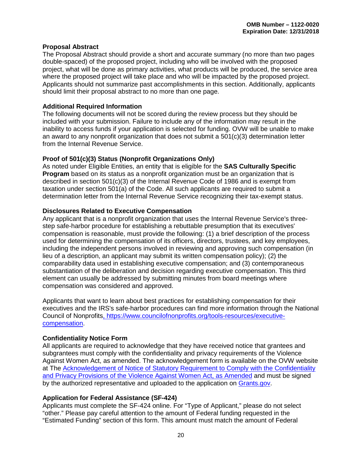#### <span id="page-24-0"></span>**Proposal Abstract**

The Proposal Abstract should provide a short and accurate summary (no more than two pages double-spaced) of the proposed project, including who will be involved with the proposed project, what will be done as primary activities, what products will be produced, the service area where the proposed project will take place and who will be impacted by the proposed project. Applicants should not summarize past accomplishments in this section. Additionally, applicants should limit their proposal abstract to no more than one page.

#### <span id="page-24-1"></span>**Additional Required Information**

The following documents will not be scored during the review process but they should be included with your submission. Failure to include any of the information may result in the inability to access funds if your application is selected for funding. OVW will be unable to make an award to any nonprofit organization that does not submit a 501(c)(3) determination letter from the Internal Revenue Service.

#### <span id="page-24-2"></span>**Proof of 501(c)(3) Status (Nonprofit Organizations Only)**

As noted under Eligible Entities, an entity that is eligible for the **SAS Culturally Specific Program** based on its status as a nonprofit organization must be an organization that is described in section 501(c)(3) of the Internal Revenue Code of 1986 and is exempt from taxation under section 501(a) of the Code. All such applicants are required to submit a determination letter from the Internal Revenue Service recognizing their tax-exempt status.

#### <span id="page-24-6"></span><span id="page-24-3"></span>**Disclosures Related to Executive Compensation**

Any applicant that is a nonprofit organization that uses the Internal Revenue Service's threestep safe-harbor procedure for establishing a rebuttable presumption that its executives' compensation is reasonable, must provide the following: (1) a brief description of the process used for determining the compensation of its officers, directors, trustees, and key employees, including the independent persons involved in reviewing and approving such compensation (in lieu of a description, an applicant may submit its written compensation policy); (2) the comparability data used in establishing executive compensation; and (3) contemporaneous substantiation of the deliberation and decision regarding executive compensation. This third element can usually be addressed by submitting minutes from board meetings where compensation was considered and approved.

Applicants that want to learn about best practices for establishing compensation for their executives and the IRS's safe-harbor procedures can find more information through the National Council of Nonprofits, https://www.councilofnonprofits.org/tools-resources/executivecompensation.

#### <span id="page-24-4"></span>**Confidentiality Notice Form**

All applicants are required to acknowledge that they have received notice that grantees and subgrantees must comply with the confidentiality and privacy requirements of the Violence Against Women Act, as amended. The acknowledgement form is available on the OVW website at The [Acknowledgement of Notice of Statutory Requirement to Comply with the Confidentiality](http://www.justice.gov/sites/default/files/ovw/legacy/2013/09/24/conf-acknowledgement.pdf)  [and Privacy Provisions of the Violence Against Women Act, as Amended](http://www.justice.gov/sites/default/files/ovw/legacy/2013/09/24/conf-acknowledgement.pdf) and must be signed by the authorized representative and uploaded to the application on [Grants.gov.](http://www.grants.gov/)

#### <span id="page-24-5"></span>**Application for Federal Assistance (SF-424)**

Applicants must complete the SF-424 online. For "Type of Applicant," please do not select "other." Please pay careful attention to the amount of Federal funding requested in the "Estimated Funding" section of this form. This amount must match the amount of Federal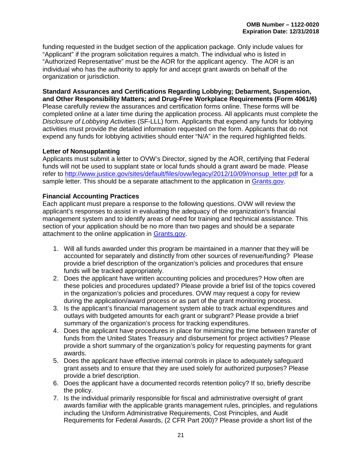funding requested in the budget section of the application package. Only include values for "Applicant" if the program solicitation requires a match. The individual who is listed in "Authorized Representative" must be the AOR for the applicant agency. The AOR is an individual who has the authority to apply for and accept grant awards on behalf of the organization or jurisdiction.

#### <span id="page-25-0"></span>**Standard Assurances and Certifications Regarding Lobbying; Debarment, Suspension, and Other Responsibility Matters; and Drug-Free Workplace Requirements (Form 4061/6)**

Please carefully review the assurances and certification forms online. These forms will be completed online at a later time during the application process. All applicants must complete the *Disclosure of Lobbying Activities* (SF-LLL) form. Applicants that expend any funds for lobbying activities must provide the detailed information requested on the form. Applicants that do not expend any funds for lobbying activities should enter "N/A" in the required highlighted fields.

#### <span id="page-25-1"></span>**Letter of Nonsupplanting**

Applicants must submit a letter to OVW's Director, signed by the AOR, certifying that Federal funds will not be used to supplant state or local funds should a grant award be made. Please refer to [http://www.justice.gov/sites/default/files/ovw/legacy/2012/10/09/nonsup\\_letter.pdf](http://www.justice.gov/sites/default/files/ovw/legacy/2012/10/09/nonsup_letter.pdf) for a sample letter. This should be a separate attachment to the application in [Grants.gov.](http://www.grants.gov/)

#### <span id="page-25-2"></span>**Financial Accounting Practices**

Each applicant must prepare a response to the following questions. OVW will review the applicant's responses to assist in evaluating the adequacy of the organization's financial management system and to identify areas of need for training and technical assistance. This section of your application should be no more than two pages and should be a separate attachment to the online application in [Grants.gov.](http://www.grants.gov/)

- 1. Will all funds awarded under this program be maintained in a manner that they will be accounted for separately and distinctly from other sources of revenue/funding? Please provide a brief description of the organization's policies and procedures that ensure funds will be tracked appropriately.
- 2. Does the applicant have written accounting policies and procedures? How often are these policies and procedures updated? Please provide a brief list of the topics covered in the organization's policies and procedures. OVW may request a copy for review during the application/award process or as part of the grant monitoring process.
- 3. Is the applicant's financial management system able to track actual expenditures and outlays with budgeted amounts for each grant or subgrant? Please provide a brief summary of the organization's process for tracking expenditures.
- 4. Does the applicant have procedures in place for minimizing the time between transfer of funds from the United States Treasury and disbursement for project activities? Please provide a short summary of the organization's policy for requesting payments for grant awards.
- 5. Does the applicant have effective internal controls in place to adequately safeguard grant assets and to ensure that they are used solely for authorized purposes? Please provide a brief description.
- 6. Does the applicant have a documented records retention policy? If so, briefly describe the policy.
- 7. Is the individual primarily responsible for fiscal and administrative oversight of grant awards familiar with the applicable grants management rules, principles, and regulations including the Uniform Administrative Requirements, Cost Principles, and Audit Requirements for Federal Awards, (2 CFR Part 200)? Please provide a short list of the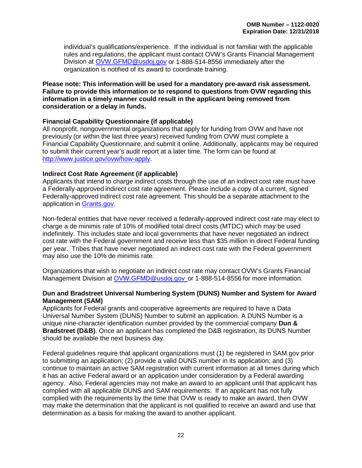individual's qualifications/experience. If the individual is not familiar with the applicable rules and regulations, the applicant must contact OVW's Grants Financial Management Division at [OVW.GFMD@usdoj.gov](mailto:OVW.GFMD@usdoj.gov) or 1-888-514-8556 immediately after the organization is notified of its award to coordinate training.

**Please note: This information will be used for a mandatory pre-award risk assessment. Failure to provide this information or to respond to questions from OVW regarding this information in a timely manner could result in the applicant being removed from consideration or a delay in funds.**

#### <span id="page-26-0"></span>**Financial Capability Questionnaire (if applicable)**

All nonprofit, nongovernmental organizations that apply for funding from OVW and have not previously (or within the last three years) received funding from OVW must complete a Financial Capability Questionnaire, and submit it online. Additionally, applicants may be required to submit their current year's audit report at a later time. The form can be found at [http://www.justice.gov/ovw/how-apply.](http://www.justice.gov/ovw/how-apply)

#### <span id="page-26-1"></span>**Indirect Cost Rate Agreement (if applicable)**

Applicants that intend to charge indirect costs through the use of an indirect cost rate must have a Federally-approved indirect cost rate agreement. Please include a copy of a current, signed Federally-approved indirect cost rate agreement. This should be a separate attachment to the application in [Grants.gov.](http://www.grants.gov/)

Non-federal entities that have never received a federally-approved indirect cost rate may elect to charge a de minimis rate of 10% of modified total direct costs (MTDC) which may be used indefinitely. This includes state and local governments that have never negotiated an indirect cost rate with the Federal government and receive less than \$35 million in direct Federal funding per year. Tribes that have never negotiated an indirect cost rate with the Federal government may also use the 10% de minimis rate.

Organizations that wish to negotiate an indirect cost rate may contact OVW's Grants Financial Management Division at [OVW.GFMD@usdoj.gov o](mailto:OVW.GFMD@usdoj.gov)r 1-888-514-8556 for more information.

#### <span id="page-26-2"></span>**Dun and Bradstreet Universal Numbering System (DUNS) Number and System for Award Management (SAM)**

Applicants for Federal grants and cooperative agreements are required to have a Data Universal Number System (DUNS) Number to submit an application. A DUNS Number is a unique nine-character identification number provided by the commercial company **Dun & Bradstreet (D&B)**. Once an applicant has completed the D&B registration, its DUNS Number should be available the next business day.

Federal guidelines require that applicant organizations must (1) be registered in SAM.gov prior to submitting an application; (2) provide a valid DUNS number in its application; and (3) continue to maintain an active SAM registration with current information at all times during which it has an active Federal award or an application under consideration by a Federal awarding agency. Also, Federal agencies may not make an award to an applicant until that applicant has complied with all applicable DUNS and SAM requirements. If an applicant has not fully complied with the requirements by the time that OVW is ready to make an award, then OVW may make the determination that the applicant is not qualified to receive an award and use that determination as a basis for making the award to another applicant.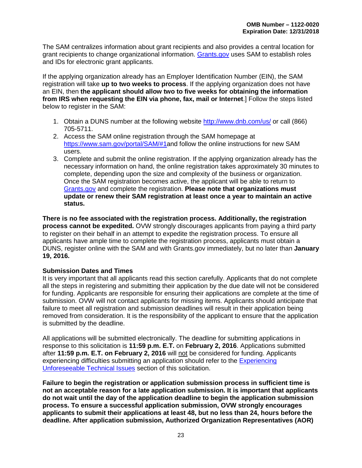<span id="page-27-1"></span>The SAM centralizes information about grant recipients and also provides a central location for grant recipients to change organizational information. [Grants.gov](http://www.grants.gov/) uses SAM to establish roles and IDs for electronic grant applicants.

If the applying organization already has an Employer Identification Number (EIN), the SAM registration will take **up to two weeks to process**. If the applying organization does not have an EIN, then **the applicant should allow two to five weeks for obtaining the information from IRS when requesting the EIN via phone, fax, mail or Internet**.] Follow the steps listed below to register in the SAM:

- 1. Obtain a DUNS number at the following website<http://www.dnb.com/us/> or call (866) 705-5711.
- 2. Access the SAM online registration through the SAM homepage at [https://www.sam.gov/portal/SAM/#1a](https://www.sam.gov/portal/SAM/%231)nd follow the online instructions for new SAM users.
- 3. Complete and submit the online registration. If the applying organization already has the necessary information on hand, the online registration takes approximately 30 minutes to complete, depending upon the size and complexity of the business or organization. Once the SAM registration becomes active, the applicant will be able to return to [Grants.gov](http://www.grants.gov/) and complete the registration. **Please note that organizations must update or renew their SAM registration at least once a year to maintain an active status.**

**There is no fee associated with the registration process. Additionally, the registration process cannot be expedited.** OVW strongly discourages applicants from paying a third party to register on their behalf in an attempt to expedite the registration process. To ensure all applicants have ample time to complete the registration process, applicants must obtain a DUNS, register online with the SAM and with Grants.gov immediately, but no later than **January 19, 2016.**

#### <span id="page-27-0"></span>**Submission Dates and Times**

It is very important that all applicants read this section carefully. Applicants that do not complete all the steps in registering and submitting their application by the due date will not be considered for funding. Applicants are responsible for ensuring their applications are complete at the time of submission. OVW will not contact applicants for missing items. Applicants should anticipate that failure to meet all registration and submission deadlines will result in their application being removed from consideration. It is the responsibility of the applicant to ensure that the application is submitted by the deadline.

All applications will be submitted electronically. The deadline for submitting applications in response to this solicitation is **11:59 p.m. E.T.** on **February 2, 2016**. Applications submitted after **11:59 p.m. E.T. on February 2, 2016** will not be considered for funding. Applicants experiencing difficulties submitting an application should refer to the [Experiencing](#page-28-1)  Unforeseeable [Technical Issues](#page-28-1) section of this solicitation.

**Failure to begin the registration or application submission process in sufficient time is not an acceptable reason for a late application submission. It is important that applicants do not wait until the day of the application deadline to begin the application submission process. To ensure a successful application submission, OVW strongly encourages applicants to submit their applications at least 48, but no less than 24, hours before the deadline. After application submission, Authorized Organization Representatives (AOR)**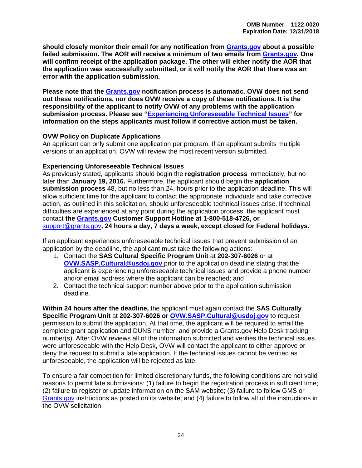**should closely monitor their email for any notification from [Grants.gov](http://www.grants.gov/) about a possible failed submission. The AOR will receive a minimum of two emails from [Grants.gov.](http://www.grants.gov/) One will confirm receipt of the application package. The other will either notify the AOR that the application was successfully submitted, or it will notify the AOR that there was an error with the application submission.** 

**Please note that the [Grants.gov](http://www.grants.gov/) notification process is automatic. OVW does not send out these notifications, nor does OVW receive a copy of these notifications. It is the responsibility of the applicant to notify OVW of any problems with the application submission process. Please see ["Experiencing Unforeseeable](#page-28-1) Technical Issues" for information on the steps applicants must follow if corrective action must be taken.** 

#### <span id="page-28-0"></span>**OVW Policy on Duplicate Applications**

An applicant can only submit one application per program. If an applicant submits multiple versions of an application, OVW will review the most recent version submitted.

#### <span id="page-28-1"></span>**Experiencing Unforeseeable Technical Issues**

As previously stated, applicants should begin the **registration process** immediately, but no later than **January 19, 2016.** Furthermore, the applicant should begin the **application submission process** 48, but no less than 24, hours prior to the application deadline. This will allow sufficient time for the applicant to contact the appropriate individuals and take corrective action, as outlined in this solicitation, should unforeseeable technical issues arise. If technical difficulties are experienced at any point during the application process, the applicant must contact **the [Grants.gov](http://www.grants.gov/) Customer Support Hotline at 1-800-518-4726, or**  [support@grants.gov](mailto:support@grants.gov)**, 24 hours a day, 7 days a week, except closed for Federal holidays.** 

If an applicant experiences unforeseeable technical issues that prevent submission of an application by the deadline, the applicant must take the following actions:

- 1. Contact the **SAS Cultural Specific Program Unit** at **202-307-6026** or at **OVW.SASP.Cultural@usdoj.gov** prior to the application deadline stating that the applicant is experiencing unforeseeable technical issues and provide a phone number and/or email address where the applicant can be reached; and
- 2. Contact the technical support number above prior to the application submission deadline.

**Within 24 hours after the deadline,** the applicant must again contact the **SAS Culturally Specific Program Unit** at **202-307-6026 or OVW.SASP.Cultural@usdoj.gov** to request permission to submit the application. At that time, the applicant will be required to email the complete grant application and DUNS number, and provide a Grants.gov Help Desk tracking number(s). After OVW reviews all of the information submitted and verifies the technical issues were unforeseeable with the Help Desk, OVW will contact the applicant to either approve or deny the request to submit a late application. If the technical issues cannot be verified as unforeseeable, the application will be rejected as late.

To ensure a fair competition for limited discretionary funds, the following conditions are not valid reasons to permit late submissions: (1) failure to begin the registration process in sufficient time; (2) failure to register or update information on the SAM website; (3) failure to follow GMS or [Grants.gov](http://www.grants.gov/) instructions as posted on its website; and (4) failure to follow all of the instructions in the OVW solicitation.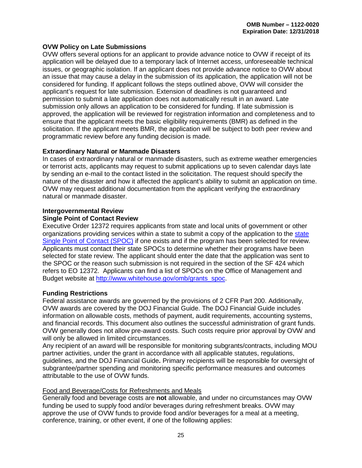#### <span id="page-29-0"></span>**OVW Policy on Late Submissions**

OVW offers several options for an applicant to provide advance notice to OVW if receipt of its application will be delayed due to a temporary lack of Internet access, unforeseeable technical issues, or geographic isolation. If an applicant does not provide advance notice to OVW about an issue that may cause a delay in the submission of its application, the application will not be considered for funding. If applicant follows the steps outlined above, OVW will consider the applicant's request for late submission. Extension of deadlines is not guaranteed and permission to submit a late application does not automatically result in an award. Late submission only allows an application to be considered for funding. If late submission is approved, the application will be reviewed for registration information and completeness and to ensure that the applicant meets the basic eligibility requirements (BMR) as defined in the solicitation. If the applicant meets BMR, the application will be subject to both peer review and programmatic review before any funding decision is made.

#### **Extraordinary Natural or Manmade Disasters**

In cases of extraordinary natural or manmade disasters, such as extreme weather emergencies or terrorist acts, applicants may request to submit applications up to seven calendar days late by sending an e-mail to the contact listed in the solicitation. The request should specify the nature of the disaster and how it affected the applicant's ability to submit an application on time. OVW may request additional documentation from the applicant verifying the extraordinary natural or manmade disaster.

#### <span id="page-29-2"></span><span id="page-29-1"></span>**Intergovernmental Review Single Point of Contact Review**

Executive Order 12372 requires applicants from state and local units of government or other organizations providing services within a state to submit a copy of the application to the [state](http://www.whitehouse.gov/omb/grants_spoc/)  [Single Point of Contact \(SPOC\)](http://www.whitehouse.gov/omb/grants_spoc/) if one exists and if the program has been selected for review. Applicants must contact their state SPOCs to determine whether their programs have been selected for state review. The applicant should enter the date that the application was sent to the SPOC or the reason such submission is not required in the section of the SF 424 which refers to EO 12372. Applicants can find a list of SPOCs on the Office of Management and Budget website at [http://www.whitehouse.gov/omb/grants\\_spoc.](http://www.whitehouse.gov/omb/grants_spoc)

#### <span id="page-29-3"></span>**Funding Restrictions**

Federal assistance awards are governed by the provisions of 2 CFR Part 200. Additionally, OVW awards are covered by the DOJ Financial Guide. The DOJ Financial Guide includes information on allowable costs, methods of payment, audit requirements, accounting systems, and financial records. This document also outlines the successful administration of grant funds. OVW generally does not allow pre-award costs. Such costs require prior approval by OVW and will only be allowed in limited circumstances.

Any recipient of an award will be responsible for monitoring subgrants/contracts, including MOU partner activities, under the grant in accordance with all applicable statutes, regulations, guidelines, and the DOJ Financial Guide**.** Primary recipients will be responsible for oversight of subgrantee/partner spending and monitoring specific performance measures and outcomes attributable to the use of OVW funds.

#### Food and Beverage/Costs for Refreshments and Meals

Generally food and beverage costs are **not** allowable, and under no circumstances may OVW funding be used to supply food and/or beverages during refreshment breaks. OVW may approve the use of OVW funds to provide food and/or beverages for a meal at a meeting, conference, training, or other event, if one of the following applies: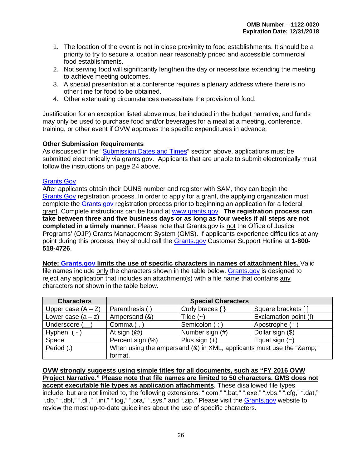- 1. The location of the event is not in close proximity to food establishments. It should be a priority to try to secure a location near reasonably priced and accessible commercial food establishments.
- 2. Not serving food will significantly lengthen the day or necessitate extending the meeting to achieve meeting outcomes.
- 3. A special presentation at a conference requires a plenary address where there is no other time for food to be obtained.
- 4. Other extenuating circumstances necessitate the provision of food.

Justification for an exception listed above must be included in the budget narrative, and funds may only be used to purchase food and/or beverages for a meal at a meeting, conference, training, or other event if OVW approves the specific expenditures in advance.

#### <span id="page-30-0"></span>**Other Submission Requirements**

As discussed in the ["Submission Dates and Times"](#page-27-0) section above, applications must be submitted electronically via grants.gov. Applicants that are unable to submit electronically must follow the instructions on page 24 above.

#### [Grants.Gov](http://www.grants.gov/)

After applicants obtain their DUNS number and register with SAM, they can begin the [Grants.Gov](http://www.grants.gov/) registration process. In order to apply for a grant, the applying organization must complete the [Grants.gov](http://www.grants.gov/) registration process prior to beginning an application for a federal grant. Complete instructions can be found at [www.grants.gov.](http://www.grants.gov/) **The registration process can take between three and five business days or as long as four weeks if all steps are not completed in a timely manner.** Please note that Grants.gov is not the Office of Justice Programs' (OJP) Grants Management System (GMS). If applicants experience difficulties at any point during this process, they should call the [Grants.gov](http://www.grants.gov/) Customer Support Hotline at **1-800- 518-4726**.

**Note: [Grants.gov](http://www.grants.gov/) limits the use of specific characters in names of attachment files.** Valid file names include only the characters shown in the table below. [Grants.gov](http://www.grants.gov/) is designed to reject any application that includes an attachment(s) with a file name that contains any characters not shown in the table below.

| <b>Characters</b>    | <b>Special Characters</b>                                        |                     |                       |
|----------------------|------------------------------------------------------------------|---------------------|-----------------------|
| Upper case $(A - Z)$ | Parenthesis (                                                    | Curly braces $\{\}$ | Square brackets []    |
| Lower case $(a - z)$ | Ampersand (&)                                                    | Tilde $(-)$         | Exclamation point (!) |
| Underscore (         | Comma $($ , $)$                                                  | Semicolon (;)       | Apostrophe (          |
| Hyphen<br>. I        | At sign $(\mathcal{Q})$                                          | Number sign (#)     | Dollar sign (\$)      |
| Space                | Percent sign (%)                                                 | Plus sign $(+)$     | Equal sign $(=)$      |
| Period (.)           | When using the ampersand (&) in XML, applicants must use the "&" |                     |                       |
|                      | format.                                                          |                     |                       |

**OVW strongly suggests using simple titles for all documents, such as "FY 2016 OVW Project Narrative." Please note that file names are limited to 50 characters. GMS does not accept executable file types as application attachments**. These disallowed file types include, but are not limited to, the following extensions: ".com," ".bat," ".exe," ".vbs," ".cfg," ".dat," ".db," ".dbf," ".dll," ".ini," ".log," ".ora," ".sys," and ".zip." Please visit the [Grants.gov](http://www.grants.gov/) website to review the most up-to-date guidelines about the use of specific characters.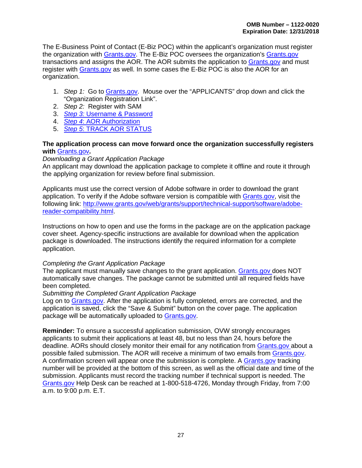The E-Business Point of Contact (E-Biz POC) within the applicant's organization must register the organization with [Grants.gov.](http://www.grants.gov/) The E-Biz POC oversees the organization's [Grants.gov](http://www.grants.gov/) transactions and assigns the AOR. The AOR submits the application to [Grants.gov](http://www.grants.gov/) and must register with [Grants.gov](http://www.grants.gov/) as well. In some cases the E-Biz POC is also the AOR for an organization.

- 1. *Step 1:* Go to [Grants.gov.](http://www.grants.gov/) Mouse over the "APPLICANTS" drop down and click the "Organization Registration Link".
- 2. *Step 2:* Register with SAM
- 3. *Step 3:* [Username & Password](http://www.grants.gov/web/grants/applicants/organization-registration/step-3-username-password.html)
- 4. *Step 4*[: AOR Authorization](http://www.grants.gov/web/grants/applicants/organization-registration/step-4-aor-authorization.html)
- 5. *Step 5*[: TRACK AOR STATUS](http://www.grants.gov/web/grants/applicants/organization-registration/step-5-track-aor-status.html)

#### **The application process can move forward once the organization successfully registers with** [Grants.gov](http://www.grants.gov/)**.**

#### *Downloading a Grant Application Package*

An applicant may download the application package to complete it offline and route it through the applying organization for review before final submission.

Applicants must use the correct version of Adobe software in order to download the grant application. To verify if the Adobe software version is compatible with [Grants.gov,](http://www.grants.gov/) visit the following link: [http://www.grants.gov/web/grants/support/technical-support/software/adobe](http://www.grants.gov/web/grants/support/technical-support/software/adobe-reader-compatibility.html)[reader-compatibility.html.](http://www.grants.gov/web/grants/support/technical-support/software/adobe-reader-compatibility.html)

Instructions on how to open and use the forms in the package are on the application package cover sheet. Agency-specific instructions are available for download when the application package is downloaded. The instructions identify the required information for a complete application.

#### *Completing the Grant Application Package*

The applicant must manually save changes to the grant application. [Grants.gov d](http://www.grants.gov/)oes NOT automatically save changes. The package cannot be submitted until all required fields have been completed.

#### *Submitting the Completed Grant Application Package*

Log on to [Grants.gov.](http://www.grants.gov/) After the application is fully completed, errors are corrected, and the application is saved, click the "Save & Submit" button on the cover page. The application package will be automatically uploaded to [Grants.gov.](http://www.grants.gov/)

**Reminder:** To ensure a successful application submission, OVW strongly encourages applicants to submit their applications at least 48, but no less than 24, hours before the deadline. AORs should closely monitor their email for any notification from [Grants.gov a](http://www.grants.gov/)bout a possible failed submission. The AOR will receive a minimum of two emails from [Grants.gov.](http://www.grants.gov/) A confirmation screen will appear once the submission is complete. A [Grants.gov](http://www.grants.gov/) tracking number will be provided at the bottom of this screen, as well as the official date and time of the submission. Applicants must record the tracking number if technical support is needed. The [Grants.gov](http://www.grants.gov/) Help Desk can be reached at 1-800-518-4726, Monday through Friday, from 7:00 a.m. to 9:00 p.m. E.T.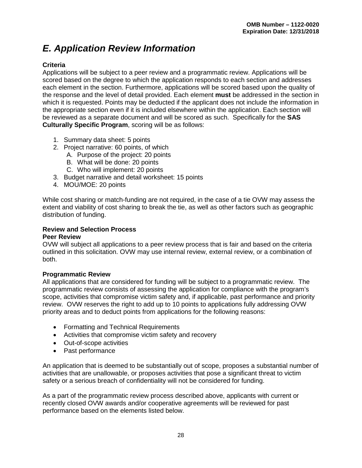# <span id="page-32-0"></span>*E. Application Review Information*

#### <span id="page-32-1"></span>**Criteria**

Applications will be subject to a peer review and a programmatic review. Applications will be scored based on the degree to which the application responds to each section and addresses each element in the section. Furthermore, applications will be scored based upon the quality of the response and the level of detail provided. Each element **must** be addressed in the section in which it is requested. Points may be deducted if the applicant does not include the information in the appropriate section even if it is included elsewhere within the application. Each section will be reviewed as a separate document and will be scored as such. Specifically for the **SAS Culturally Specific Program**, scoring will be as follows:

- 1. Summary data sheet: 5 points
- 2. Project narrative: 60 points, of which
	- A. Purpose of the project: 20 points
	- B. What will be done: 20 points
	- C. Who will implement: 20 points
- 3. Budget narrative and detail worksheet: 15 points
- 4. MOU/MOE: 20 points

While cost sharing or match-funding are not required, in the case of a tie OVW may assess the extent and viability of cost sharing to break the tie, as well as other factors such as geographic distribution of funding.

#### <span id="page-32-2"></span>**Review and Selection Process**

#### <span id="page-32-3"></span>**Peer Review**

OVW will subject all applications to a peer review process that is fair and based on the criteria outlined in this solicitation. OVW may use internal review, external review, or a combination of both.

#### <span id="page-32-4"></span>**Programmatic Review**

All applications that are considered for funding will be subject to a programmatic review. The programmatic review consists of assessing the application for compliance with the program's scope, activities that compromise victim safety and, if applicable, past performance and priority review. OVW reserves the right to add up to 10 points to applications fully addressing OVW priority areas and to deduct points from applications for the following reasons:

- Formatting and Technical Requirements
- Activities that compromise victim safety and recovery
- Out-of-scope activities
- Past performance

An application that is deemed to be substantially out of scope, proposes a substantial number of activities that are unallowable, or proposes activities that pose a significant threat to victim safety or a serious breach of confidentiality will not be considered for funding.

As a part of the programmatic review process described above, applicants with current or recently closed OVW awards and/or cooperative agreements will be reviewed for past performance based on the elements listed below.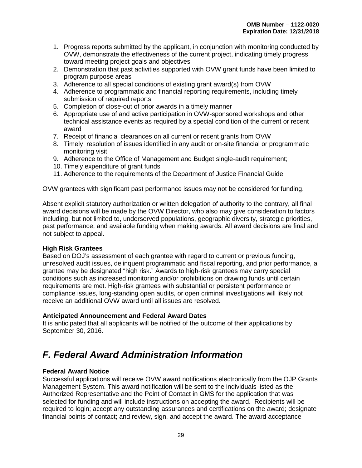- 1. Progress reports submitted by the applicant, in conjunction with monitoring conducted by OVW, demonstrate the effectiveness of the current project, indicating timely progress toward meeting project goals and objectives
- 2. Demonstration that past activities supported with OVW grant funds have been limited to program purpose areas
- 3. Adherence to all special conditions of existing grant award(s) from OVW
- 4. Adherence to programmatic and financial reporting requirements, including timely submission of required reports
- 5. Completion of close-out of prior awards in a timely manner
- 6. Appropriate use of and active participation in OVW-sponsored workshops and other technical assistance events as required by a special condition of the current or recent award
- 7. Receipt of financial clearances on all current or recent grants from OVW
- 8. Timely resolution of issues identified in any audit or on-site financial or programmatic monitoring visit
- 9. Adherence to the Office of Management and Budget single-audit requirement;
- 10. Timely expenditure of grant funds
- 11. Adherence to the requirements of the Department of Justice Financial Guide

OVW grantees with significant past performance issues may not be considered for funding.

Absent explicit statutory authorization or written delegation of authority to the contrary, all final award decisions will be made by the OVW Director, who also may give consideration to factors including, but not limited to, underserved populations, geographic diversity, strategic priorities, past performance, and available funding when making awards. All award decisions are final and not subject to appeal.

#### <span id="page-33-0"></span>**High Risk Grantees**

Based on DOJ's assessment of each grantee with regard to current or previous funding, unresolved audit issues, delinquent programmatic and fiscal reporting, and prior performance, a grantee may be designated "high risk." Awards to high-risk grantees may carry special conditions such as increased monitoring and/or prohibitions on drawing funds until certain requirements are met. High-risk grantees with substantial or persistent performance or compliance issues, long-standing open audits, or open criminal investigations will likely not receive an additional OVW award until all issues are resolved.

#### <span id="page-33-1"></span>**Anticipated Announcement and Federal Award Dates**

It is anticipated that all applicants will be notified of the outcome of their applications by September 30, 2016.

# <span id="page-33-2"></span>*F. Federal Award Administration Information*

#### <span id="page-33-3"></span>**Federal Award Notice**

Successful applications will receive OVW award notifications electronically from the OJP Grants Management System. This award notification will be sent to the individuals listed as the Authorized Representative and the Point of Contact in GMS for the application that was selected for funding and will include instructions on accepting the award. Recipients will be required to login; accept any outstanding assurances and certifications on the award; designate financial points of contact; and review, sign, and accept the award. The award acceptance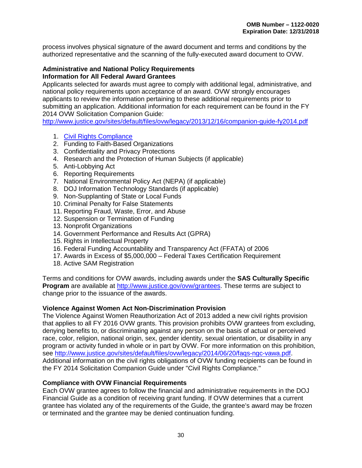process involves physical signature of the award document and terms and conditions by the authorized representative and the scanning of the fully-executed award document to OVW.

#### <span id="page-34-0"></span>**Administrative and National Policy Requirements Information for All Federal Award Grantees**

Applicants selected for awards must agree to comply with additional legal, administrative, and national policy requirements upon acceptance of an award. OVW strongly encourages applicants to review the information pertaining to these additional requirements prior to submitting an application. Additional information for each requirement can be found in the FY 2014 OVW Solicitation Companion Guide:

<http://www.justice.gov/sites/default/files/ovw/legacy/2013/12/16/companion-guide-fy2014.pdf>

- 1. [Civil Rights Compliance](http://www.ojp.usdoj.gov/about/ocr/statutes.htm)
- 2. Funding to Faith-Based Organizations
- 3. Confidentiality and Privacy Protections
- 4. Research and the Protection of Human Subjects (if applicable)
- 5. Anti-Lobbying Act
- 6. Reporting Requirements
- 7. National Environmental Policy Act (NEPA) (if applicable)
- 8. DOJ Information Technology Standards (if applicable)
- 9. Non-Supplanting of State or Local Funds
- 10. Criminal Penalty for False Statements
- 11. Reporting Fraud, Waste, Error, and Abuse
- 12. Suspension or Termination of Funding
- 13. Nonprofit Organizations
- 14. Government Performance and Results Act (GPRA)
- 15. Rights in Intellectual Property
- 16. Federal Funding Accountability and Transparency Act (FFATA) of 2006
- 17. Awards in Excess of \$5,000,000 Federal Taxes Certification Requirement
- 18. Active SAM Registration

Terms and conditions for OVW awards, including awards under the **SAS Culturally Specific Program** are available at [http://www.justice.gov/ovw/grantees.](http://www.justice.gov/ovw/grantees) These terms are subject to change prior to the issuance of the awards.

#### <span id="page-34-1"></span>**Violence Against Women Act Non-Discrimination Provision**

The Violence Against Women Reauthorization Act of 2013 added a new civil rights provision that applies to all FY 2016 OVW grants. This provision prohibits OVW grantees from excluding, denying benefits to, or discriminating against any person on the basis of actual or perceived race, color, religion, national origin, sex, gender identity, sexual orientation, or disability in any program or activity funded in whole or in part by OVW. For more information on this prohibition, see [http://www.justice.gov/sites/default/files/ovw/legacy/2014/06/20/faqs-ngc-vawa.pdf.](http://www.justice.gov/sites/default/files/ovw/legacy/2014/06/20/faqs-ngc-vawa.pdf) Additional information on the civil rights obligations of OVW funding recipients can be found in the FY 2014 Solicitation Companion Guide under "Civil Rights Compliance."

#### <span id="page-34-2"></span>**Compliance with OVW Financial Requirements**

Each OVW grantee agrees to follow the financial and administrative requirements in the DOJ Financial Guide as a condition of receiving grant funding. If OVW determines that a current grantee has violated any of the requirements of the Guide, the grantee's award may be frozen or terminated and the grantee may be denied continuation funding.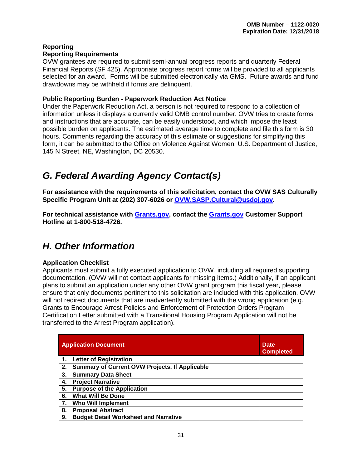#### <span id="page-35-1"></span><span id="page-35-0"></span>**Reporting Reporting Requirements**

OVW grantees are required to submit semi-annual progress reports and quarterly Federal Financial Reports (SF 425). Appropriate progress report forms will be provided to all applicants selected for an award. Forms will be submitted electronically via GMS. Future awards and fund drawdowns may be withheld if forms are delinquent.

#### <span id="page-35-2"></span>**Public Reporting Burden - Paperwork Reduction Act Notice**

Under the Paperwork Reduction Act, a person is not required to respond to a collection of information unless it displays a currently valid OMB control number. OVW tries to create forms and instructions that are accurate, can be easily understood, and which impose the least possible burden on applicants. The estimated average time to complete and file this form is 30 hours. Comments regarding the accuracy of this estimate or suggestions for simplifying this form, it can be submitted to the Office on Violence Against Women, U.S. Department of Justice, 145 N Street, NE, Washington, DC 20530.

# <span id="page-35-3"></span>*G. Federal Awarding Agency Contact(s)*

**For assistance with the requirements of this solicitation, contact the OVW SAS Culturally Specific Program Unit at (202) 307-6026 or OVW.SASP.Cultural@usdoj.gov.**

**For technical assistance with [Grants.gov,](http://www.grants.gov/) contact the [Grants.gov](http://www.grants.gov/) Customer Support Hotline at 1-800-518-4726.** 

# <span id="page-35-4"></span>*H. Other Information*

#### <span id="page-35-5"></span>**Application Checklist**

Applicants must submit a fully executed application to OVW, including all required supporting documentation. (OVW will not contact applicants for missing items.) Additionally, if an applicant plans to submit an application under any other OVW grant program this fiscal year, please ensure that only documents pertinent to this solicitation are included with this application. OVW will not redirect documents that are inadvertently submitted with the wrong application (e.g. Grants to Encourage Arrest Policies and Enforcement of Protection Orders Program Certification Letter submitted with a Transitional Housing Program Application will not be transferred to the Arrest Program application).

|    | <b>Application Document</b>                           | <b>Date</b><br><b>Completed</b> |
|----|-------------------------------------------------------|---------------------------------|
|    | <b>Letter of Registration</b>                         |                                 |
| 2. | <b>Summary of Current OVW Projects, If Applicable</b> |                                 |
| 3. | <b>Summary Data Sheet</b>                             |                                 |
| 4. | <b>Project Narrative</b>                              |                                 |
| 5. | <b>Purpose of the Application</b>                     |                                 |
| 6. | <b>What Will Be Done</b>                              |                                 |
| 7. | <b>Who Will Implement</b>                             |                                 |
| 8. | <b>Proposal Abstract</b>                              |                                 |
| 9. | <b>Budget Detail Worksheet and Narrative</b>          |                                 |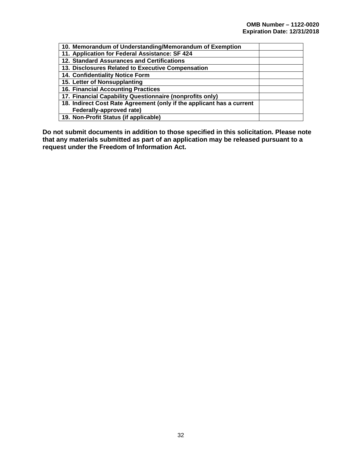| 10. Memorandum of Understanding/Memorandum of Exemption               |  |
|-----------------------------------------------------------------------|--|
| 11. Application for Federal Assistance: SF 424                        |  |
| 12. Standard Assurances and Certifications                            |  |
| 13. Disclosures Related to Executive Compensation                     |  |
| 14. Confidentiality Notice Form                                       |  |
| 15. Letter of Nonsupplanting                                          |  |
| <b>16. Financial Accounting Practices</b>                             |  |
| 17. Financial Capability Questionnaire (nonprofits only)              |  |
| 18. Indirect Cost Rate Agreement (only if the applicant has a current |  |
| Federally-approved rate)                                              |  |
| 19. Non-Profit Status (if applicable)                                 |  |

**Do not submit documents in addition to those specified in this solicitation. Please note that any materials submitted as part of an application may be released pursuant to a request under the Freedom of Information Act.**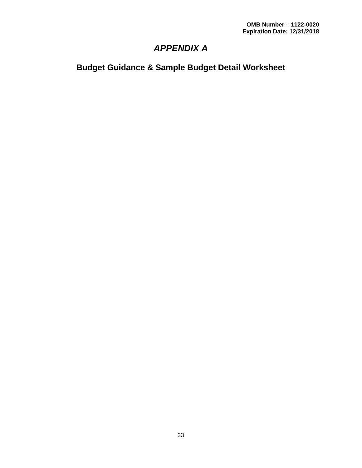# *APPENDIX A*

<span id="page-37-1"></span><span id="page-37-0"></span>**Budget Guidance & Sample Budget Detail Worksheet**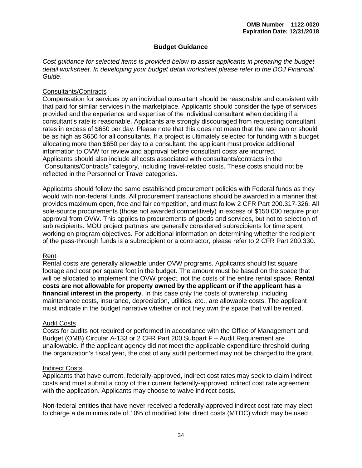#### **Budget Guidance**

<span id="page-38-0"></span>*Cost guidance for selected items is provided below to assist applicants in preparing the budget detail worksheet. In developing your budget detail worksheet please refer to the DOJ Financial Guide*.

#### Consultants/Contracts

Compensation for services by an individual consultant should be reasonable and consistent with that paid for similar services in the marketplace. Applicants should consider the type of services provided and the experience and expertise of the individual consultant when deciding if a consultant's rate is reasonable. Applicants are strongly discouraged from requesting consultant rates in excess of \$650 per day. Please note that this does not mean that the rate can or should be as high as \$650 for all consultants. If a project is ultimately selected for funding with a budget allocating more than \$650 per day to a consultant, the applicant must provide additional information to OVW for review and approval before consultant costs are incurred. Applicants should also include all costs associated with consultants/contracts in the "Consultants/Contracts" category, including travel-related costs. These costs should not be reflected in the Personnel or Travel categories.

Applicants should follow the same established procurement policies with Federal funds as they would with non-federal funds. All procurement transactions should be awarded in a manner that provides maximum open, free and fair competition, and must follow 2 CFR Part 200.317-326. All sole-source procurements (those not awarded competitively) in excess of \$150,000 require prior approval from OVW. This applies to procurements of goods and services, but not to selection of sub recipients. MOU project partners are generally considered subrecipients for time spent working on program objectives. For additional information on determining whether the recipient of the pass-through funds is a subrecipient or a contractor, please refer to 2 CFR Part 200.330.

#### Rent

Rental costs are generally allowable under OVW programs. Applicants should list square footage and cost per square foot in the budget. The amount must be based on the space that will be allocated to implement the OVW project, not the costs of the entire rental space. **Rental costs are not allowable for property owned by the applicant or if the applicant has a financial interest in the property**. In this case only the costs of ownership, including maintenance costs, insurance, depreciation, utilities, etc., are allowable costs. The applicant must indicate in the budget narrative whether or not they own the space that will be rented.

#### Audit Costs

Costs for audits not required or performed in accordance with the Office of Management and Budget (OMB) Circular A-133 or 2 CFR Part 200 Subpart F – Audit Requirement are unallowable. If the applicant agency did not meet the applicable expenditure threshold during the organization's fiscal year, the cost of any audit performed may not be charged to the grant.

#### Indirect Costs

Applicants that have current, federally-approved, indirect cost rates may seek to claim indirect costs and must submit a copy of their current federally-approved indirect cost rate agreement with the application. Applicants may choose to waive indirect costs.

Non-federal entities that have never received a federally-approved indirect cost rate may elect to charge a de minimis rate of 10% of modified total direct costs (MTDC) which may be used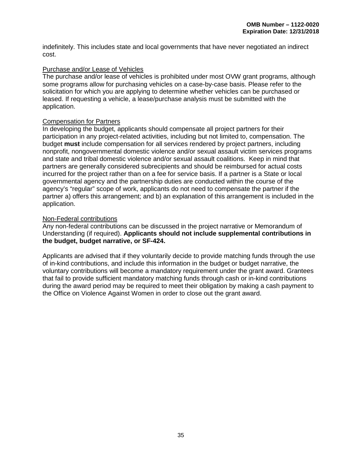indefinitely. This includes state and local governments that have never negotiated an indirect cost.

#### Purchase and/or Lease of Vehicles

The purchase and/or lease of vehicles is prohibited under most OVW grant programs, although some programs allow for purchasing vehicles on a case-by-case basis. Please refer to the solicitation for which you are applying to determine whether vehicles can be purchased or leased. If requesting a vehicle, a lease/purchase analysis must be submitted with the application.

#### Compensation for Partners

In developing the budget, applicants should compensate all project partners for their participation in any project-related activities, including but not limited to, compensation. The budget **must** include compensation for all services rendered by project partners, including nonprofit, nongovernmental domestic violence and/or sexual assault victim services programs and state and tribal domestic violence and/or sexual assault coalitions. Keep in mind that partners are generally considered subrecipients and should be reimbursed for actual costs incurred for the project rather than on a fee for service basis. If a partner is a State or local governmental agency and the partnership duties are conducted within the course of the agency's "regular" scope of work, applicants do not need to compensate the partner if the partner a) offers this arrangement; and b) an explanation of this arrangement is included in the application.

#### Non-Federal contributions

Any non-federal contributions can be discussed in the project narrative or Memorandum of Understanding (if required). **Applicants should not include supplemental contributions in the budget, budget narrative, or SF-424.** 

Applicants are advised that if they voluntarily decide to provide matching funds through the use of in-kind contributions, and include this information in the budget or budget narrative, the voluntary contributions will become a mandatory requirement under the grant award. Grantees that fail to provide sufficient mandatory matching funds through cash or in-kind contributions during the award period may be required to meet their obligation by making a cash payment to the Office on Violence Against Women in order to close out the grant award.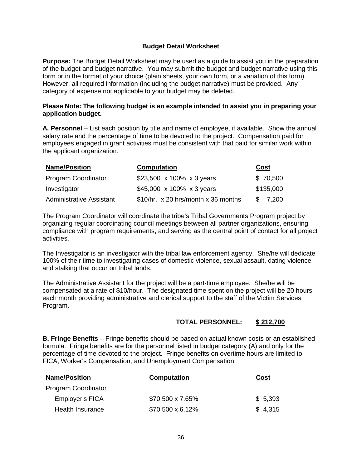#### **Budget Detail Worksheet**

<span id="page-40-0"></span>**Purpose:** The Budget Detail Worksheet may be used as a guide to assist you in the preparation of the budget and budget narrative. You may submit the budget and budget narrative using this form or in the format of your choice (plain sheets, your own form, or a variation of this form). However, all required information (including the budget narrative) must be provided. Any category of expense not applicable to your budget may be deleted.

#### **Please Note: The following budget is an example intended to assist you in preparing your application budget.**

**A. Personnel** – List each position by title and name of employee, if available. Show the annual salary rate and the percentage of time to be devoted to the project. Compensation paid for employees engaged in grant activities must be consistent with that paid for similar work within the applicant organization.

| <b>Name/Position</b>            | <b>Computation</b>                  | Cost      |
|---------------------------------|-------------------------------------|-----------|
| <b>Program Coordinator</b>      | \$23,500 x 100% x 3 years           | \$70,500  |
| Investigator                    | \$45,000 x 100% x 3 years           | \$135,000 |
| <b>Administrative Assistant</b> | \$10/hr. x 20 hrs/month x 36 months | \$ 7,200  |

The Program Coordinator will coordinate the tribe's Tribal Governments Program project by organizing regular coordinating council meetings between all partner organizations, ensuring compliance with program requirements, and serving as the central point of contact for all project activities.

The Investigator is an investigator with the tribal law enforcement agency. She/he will dedicate 100% of their time to investigating cases of domestic violence, sexual assault, dating violence and stalking that occur on tribal lands.

The Administrative Assistant for the project will be a part-time employee. She/he will be compensated at a rate of \$10/hour. The designated time spent on the project will be 20 hours each month providing administrative and clerical support to the staff of the Victim Services Program.

#### **TOTAL PERSONNEL: \$ 212,700**

**B. Fringe Benefits** – Fringe benefits should be based on actual known costs or an established formula. Fringe benefits are for the personnel listed in budget category (A) and only for the percentage of time devoted to the project. Fringe benefits on overtime hours are limited to FICA, Worker's Compensation, and Unemployment Compensation.

| <b>Name/Position</b>       | <b>Computation</b>      | Cost    |
|----------------------------|-------------------------|---------|
| <b>Program Coordinator</b> |                         |         |
| Employer's FICA            | \$70,500 x 7.65%        | \$5,393 |
| Health Insurance           | $$70,500 \times 6.12\%$ | \$4,315 |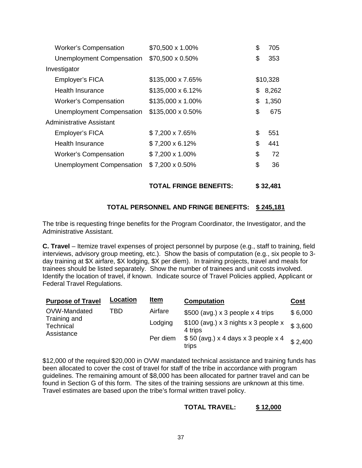| <b>Worker's Compensation</b> | \$70,500 x 1.00%         | \$<br>705   |
|------------------------------|--------------------------|-------------|
| Unemployment Compensation    | \$70,500 x 0.50%         | \$<br>353   |
| Investigator                 |                          |             |
| Employer's FICA              | \$135,000 x 7.65%        | \$10,328    |
| Health Insurance             | $$135,000 \times 6.12\%$ | \$<br>8,262 |
| <b>Worker's Compensation</b> | \$135,000 x 1.00%        | \$<br>1,350 |
| Unemployment Compensation    | \$135,000 x 0.50%        | \$<br>675   |
| Administrative Assistant     |                          |             |
| Employer's FICA              | \$7,200 x 7.65%          | \$<br>551   |
| <b>Health Insurance</b>      | \$7,200 x 6.12%          | \$<br>441   |
| <b>Worker's Compensation</b> | \$7,200 x 1.00%          | \$<br>72    |
| Unemployment Compensation    | \$7,200 x 0.50%          | \$<br>36    |
|                              |                          |             |

**TOTAL FRINGE BENEFITS: \$ 32,481**

#### **TOTAL PERSONNEL AND FRINGE BENEFITS: \$ 245,181**

The tribe is requesting fringe benefits for the Program Coordinator, the Investigator, and the Administrative Assistant.

**C. Travel** – Itemize travel expenses of project personnel by purpose (e.g., staff to training, field interviews, advisory group meeting, etc.). Show the basis of computation (e.g., six people to 3 day training at \$X airfare, \$X lodging, \$X per diem). In training projects, travel and meals for trainees should be listed separately. Show the number of trainees and unit costs involved. Identify the location of travel, if known. Indicate source of Travel Policies applied, Applicant or Federal Travel Regulations.

| <b>Purpose of Travel</b>                | Location | <u>Item</u> | <b>Computation</b>                              | <u>Cost</u> |
|-----------------------------------------|----------|-------------|-------------------------------------------------|-------------|
| OVW-Mandated                            | TBD      | Airfare     | $$500$ (avg.) x 3 people x 4 trips              | \$6,000     |
| Training and<br>Technical<br>Assistance |          | Lodging     | \$100 (avg.) x 3 nights x 3 people x<br>4 trips | \$3,600     |
|                                         |          | Per diem    | $$50$ (avg.) x 4 days x 3 people x 4<br>trips   | \$2.400     |

\$12,000 of the required \$20,000 in OVW mandated technical assistance and training funds has been allocated to cover the cost of travel for staff of the tribe in accordance with program guidelines. The remaining amount of \$8,000 has been allocated for partner travel and can be found in Section G of this form. The sites of the training sessions are unknown at this time. Travel estimates are based upon the tribe's formal written travel policy.

#### **TOTAL TRAVEL: \$ 12,000**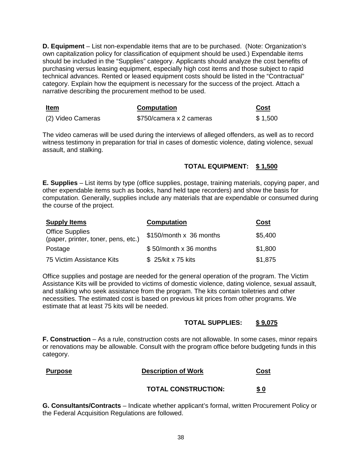**D. Equipment** – List non-expendable items that are to be purchased. (Note: Organization's own capitalization policy for classification of equipment should be used.) Expendable items should be included in the "Supplies" category. Applicants should analyze the cost benefits of purchasing versus leasing equipment, especially high cost items and those subject to rapid technical advances. Rented or leased equipment costs should be listed in the "Contractual" category. Explain how the equipment is necessary for the success of the project. Attach a narrative describing the procurement method to be used.

| <b>Item</b>       | <b>Computation</b>       | Cost    |
|-------------------|--------------------------|---------|
| (2) Video Cameras | \$750/camera x 2 cameras | \$1,500 |

The video cameras will be used during the interviews of alleged offenders, as well as to record witness testimony in preparation for trial in cases of domestic violence, dating violence, sexual assault, and stalking.

#### **TOTAL EQUIPMENT: \$ 1,500**

**E. Supplies** – List items by type (office supplies, postage, training materials, copying paper, and other expendable items such as books, hand held tape recorders) and show the basis for computation. Generally, supplies include any materials that are expendable or consumed during the course of the project.

| <b>Supply Items</b>                                           | <b>Computation</b>      | Cost    |
|---------------------------------------------------------------|-------------------------|---------|
| <b>Office Supplies</b><br>(paper, printer, toner, pens, etc.) | \$150/month x 36 months | \$5,400 |
| Postage                                                       | \$50/month x 36 months  | \$1,800 |
| 75 Victim Assistance Kits                                     | \$25/kit x 75 kits      | \$1,875 |

Office supplies and postage are needed for the general operation of the program. The Victim Assistance Kits will be provided to victims of domestic violence, dating violence, sexual assault, and stalking who seek assistance from the program. The kits contain toiletries and other necessities. The estimated cost is based on previous kit prices from other programs. We estimate that at least 75 kits will be needed.

#### **TOTAL SUPPLIES: \$ 9,075**

**F. Construction** – As a rule, construction costs are not allowable. In some cases, minor repairs or renovations may be allowable. Consult with the program office before budgeting funds in this category.

#### **Purpose Description of Work Cost**

#### **TOTAL CONSTRUCTION: \$ 0**

**G. Consultants/Contracts** – Indicate whether applicant's formal, written Procurement Policy or the Federal Acquisition Regulations are followed.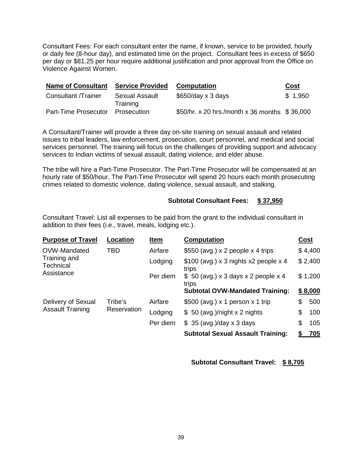Consultant Fees: For each consultant enter the name, if known, service to be provided, hourly or daily fee (8-hour day), and estimated time on the project. Consultant fees in excess of \$650 per day or \$81.25 per hour require additional justification and prior approval from the Office on Violence Against Women.

| <b>Name of Consultant</b>  | <b>Service Provided</b>    | <b>Computation</b>                            | Cost    |
|----------------------------|----------------------------|-----------------------------------------------|---------|
| <b>Consultant /Trainer</b> | Sexual Assault<br>Training | $$650/day \times 3 days$                      | \$1,950 |
| Part-Time Prosecutor       | Prosecution                | \$50/hr. x 20 hrs./month x 36 months \$36,000 |         |

A Consultant/Trainer will provide a three day on-site training on sexual assault and related issues to tribal leaders, law enforcement, prosecution, court personnel, and medical and social services personnel. The training will focus on the challenges of providing support and advocacy services to Indian victims of sexual assault, dating violence, and elder abuse.

The tribe will hire a Part-Time Prosecutor. The Part-Time Prosecutor will be compensated at an hourly rate of \$50/hour. The Part-Time Prosecutor will spend 20 hours each month prosecuting crimes related to domestic violence, dating violence, sexual assault, and stalking.

#### **Subtotal Consultant Fees: \$ 37,950**

Consultant Travel: List all expenses to be paid from the grant to the individual consultant in addition to their fees (i.e., travel, meals, lodging etc.).

| <b>Purpose of Travel</b>               | Location | Item                          | <b>Computation</b>                              | Cost |         |
|----------------------------------------|----------|-------------------------------|-------------------------------------------------|------|---------|
| OVW-Mandated                           | TBD      | Airfare                       | \$550 (avg.) $\times$ 2 people $\times$ 4 trips |      | \$4,400 |
| Training and<br>Technical              |          | Lodging                       | $$100$ (avg.) x 3 nights x2 people x 4<br>trips |      | \$2,400 |
| Assistance                             |          | Per diem                      | $$50$ (avg.) x 3 days x 2 people x 4<br>trips   |      | \$1,200 |
|                                        |          |                               | <b>Subtotal OVW-Mandated Training:</b>          |      | \$8,000 |
| Delivery of Sexual                     | Tribe's  | Airfare                       | \$500 (avg.) $\times$ 1 person $\times$ 1 trip  | \$   | 500     |
| <b>Assault Training</b><br>Reservation | Lodging  | \$ 50 (avg.)/night x 2 nights | \$                                              | 100  |         |
|                                        |          | Per diem                      | $$35$ (avg.)/day x 3 days                       | \$   | 105     |
|                                        |          |                               | <b>Subtotal Sexual Assault Training:</b>        |      | 705     |

**Subtotal Consultant Travel: \$ 8,705**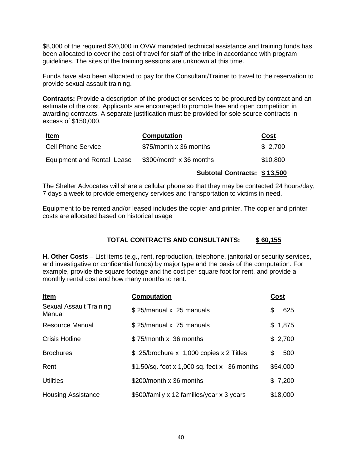\$8,000 of the required \$20,000 in OVW mandated technical assistance and training funds has been allocated to cover the cost of travel for staff of the tribe in accordance with program guidelines. The sites of the training sessions are unknown at this time.

Funds have also been allocated to pay for the Consultant/Trainer to travel to the reservation to provide sexual assault training.

**Contracts:** Provide a description of the product or services to be procured by contract and an estimate of the cost. Applicants are encouraged to promote free and open competition in awarding contracts. A separate justification must be provided for sole source contracts in excess of \$150,000.

| <u>Item</u>                | <b>Computation</b>      | <u>Cost</u> |
|----------------------------|-------------------------|-------------|
| <b>Cell Phone Service</b>  | \$75/month x 36 months  | \$2,700     |
| Equipment and Rental Lease | \$300/month x 36 months | \$10,800    |

#### **Subtotal Contracts: \$ 13,500**

The Shelter Advocates will share a cellular phone so that they may be contacted 24 hours/day, 7 days a week to provide emergency services and transportation to victims in need.

Equipment to be rented and/or leased includes the copier and printer. The copier and printer costs are allocated based on historical usage

#### **TOTAL CONTRACTS AND CONSULTANTS: \$ 60,155**

**H. Other Costs** – List items (e.g., rent, reproduction, telephone, janitorial or security services, and investigative or confidential funds) by major type and the basis of the computation. For example, provide the square footage and the cost per square foot for rent, and provide a monthly rental cost and how many months to rent.

| <b>Item</b>                       | <b>Computation</b>                            | Cost      |
|-----------------------------------|-----------------------------------------------|-----------|
| Sexual Assault Training<br>Manual | \$25/manual x 25 manuals                      | \$<br>625 |
| <b>Resource Manual</b>            | \$25/manual x 75 manuals                      | \$1,875   |
| <b>Crisis Hotline</b>             | \$75/month x 36 months                        | \$2,700   |
| <b>Brochures</b>                  | \$.25/brochure x 1,000 copies x 2 Titles      | \$<br>500 |
| Rent                              | $$1.50/sq.$ foot x 1,000 sq. feet x 36 months | \$54,000  |
| <b>Utilities</b>                  | \$200/month x 36 months                       | \$7,200   |
| <b>Housing Assistance</b>         | \$500/family x 12 families/year x 3 years     | \$18,000  |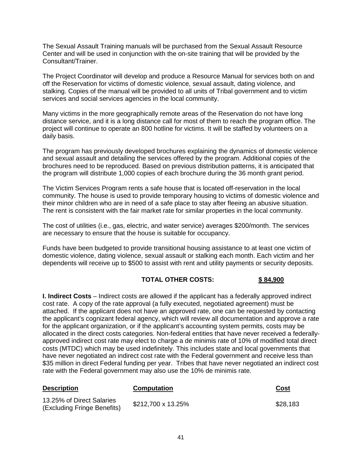The Sexual Assault Training manuals will be purchased from the Sexual Assault Resource Center and will be used in conjunction with the on-site training that will be provided by the Consultant/Trainer.

The Project Coordinator will develop and produce a Resource Manual for services both on and off the Reservation for victims of domestic violence, sexual assault, dating violence, and stalking. Copies of the manual will be provided to all units of Tribal government and to victim services and social services agencies in the local community.

Many victims in the more geographically remote areas of the Reservation do not have long distance service, and it is a long distance call for most of them to reach the program office. The project will continue to operate an 800 hotline for victims. It will be staffed by volunteers on a daily basis.

The program has previously developed brochures explaining the dynamics of domestic violence and sexual assault and detailing the services offered by the program. Additional copies of the brochures need to be reproduced. Based on previous distribution patterns, it is anticipated that the program will distribute 1,000 copies of each brochure during the 36 month grant period.

The Victim Services Program rents a safe house that is located off-reservation in the local community. The house is used to provide temporary housing to victims of domestic violence and their minor children who are in need of a safe place to stay after fleeing an abusive situation. The rent is consistent with the fair market rate for similar properties in the local community.

The cost of utilities (i.e., gas, electric, and water service) averages \$200/month. The services are necessary to ensure that the house is suitable for occupancy.

Funds have been budgeted to provide transitional housing assistance to at least one victim of domestic violence, dating violence, sexual assault or stalking each month. Each victim and her dependents will receive up to \$500 to assist with rent and utility payments or security deposits.

#### **TOTAL OTHER COSTS: \$ 84,900**

**I. Indirect Costs** – Indirect costs are allowed if the applicant has a federally approved indirect cost rate. A copy of the rate approval (a fully executed, negotiated agreement) must be attached. If the applicant does not have an approved rate, one can be requested by contacting the applicant's cognizant federal agency, which will review all documentation and approve a rate for the applicant organization, or if the applicant's accounting system permits, costs may be allocated in the direct costs categories. Non-federal entities that have never received a federallyapproved indirect cost rate may elect to charge a de minimis rate of 10% of modified total direct costs (MTDC) which may be used indefinitely. This includes state and local governments that have never negotiated an indirect cost rate with the Federal government and receive less than \$35 million in direct Federal funding per year. Tribes that have never negotiated an indirect cost rate with the Federal government may also use the 10% de minimis rate.

| <b>Description</b>                                       | <b>Computation</b> | <u>Cost</u> |
|----------------------------------------------------------|--------------------|-------------|
| 13.25% of Direct Salaries<br>(Excluding Fringe Benefits) | \$212,700 x 13.25% | \$28,183    |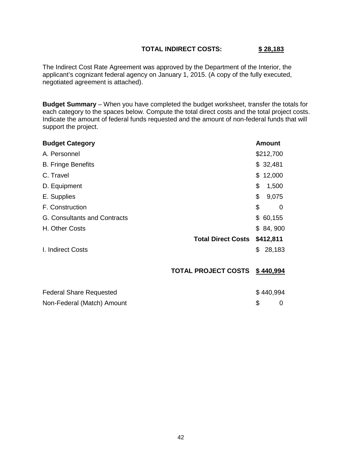#### **TOTAL INDIRECT COSTS: \$ 28,183**

The Indirect Cost Rate Agreement was approved by the Department of the Interior, the applicant's cognizant federal agency on January 1, 2015. (A copy of the fully executed, negotiated agreement is attached).

**Budget Summary** – When you have completed the budget worksheet, transfer the totals for each category to the spaces below. Compute the total direct costs and the total project costs. Indicate the amount of federal funds requested and the amount of non-federal funds that will support the project.

| <b>Budget Category</b>         |                            | Amount       |
|--------------------------------|----------------------------|--------------|
| A. Personnel                   |                            | \$212,700    |
| <b>B. Fringe Benefits</b>      |                            | \$32,481     |
| C. Travel                      |                            | \$12,000     |
| D. Equipment                   |                            | \$<br>1,500  |
| E. Supplies                    |                            | \$<br>9,075  |
| F. Construction                |                            | \$<br>0      |
| G. Consultants and Contracts   |                            | \$60,155     |
| H. Other Costs                 |                            | \$84,900     |
|                                | <b>Total Direct Costs</b>  | \$412,811    |
| I. Indirect Costs              |                            | \$<br>28,183 |
|                                | <b>TOTAL PROJECT COSTS</b> | \$440,994    |
| <b>Federal Share Requested</b> |                            | \$440,994    |
| Non-Federal (Match) Amount     |                            | \$<br>0      |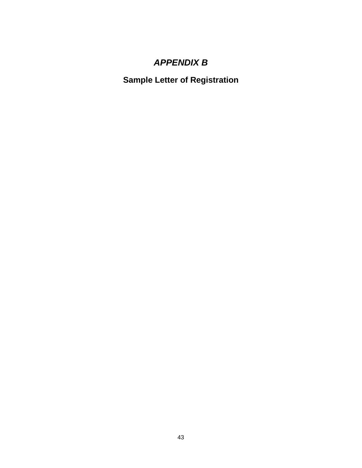# *APPENDIX B*

<span id="page-47-1"></span><span id="page-47-0"></span>**Sample Letter of Registration**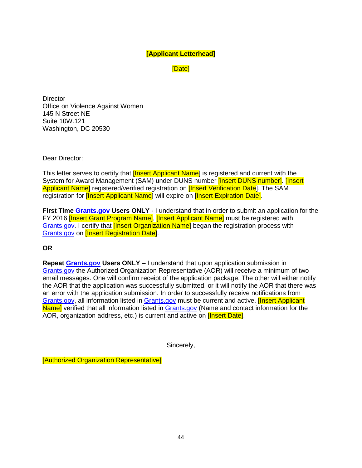#### **[Applicant Letterhead]**

[Date]

**Director** Office on Violence Against Women 145 N Street NE Suite 10W.121 Washington, DC 20530

Dear Director:

This letter serves to certify that **[Insert Applicant Name**] is registered and current with the System for Award Management (SAM) under DUNS number [insert DUNS number]. [Insert Applicant Name] registered/verified registration on **[Insert Verification Date**]. The SAM registration for **[Insert Applicant Name**] will expire on **[Insert Expiration Date]**.

**First Time [Grants.gov](http://www.grants.gov/) Users ONLY** - I understand that in order to submit an application for the FY 2016 **[Insert Grant Program Name], [Insert Applicant Name]** must be registered with [Grants.gov.](http://www.grants.gov/) I certify that [Insert Organization Name] began the registration process with [Grants.gov](http://www.grants.gov/) on [Insert Registration Date].

**OR**

**Repeat [Grants.gov](http://www.grants.gov/) Users ONLY** – I understand that upon application submission in [Grants.gov](http://www.grants.gov/) the Authorized Organization Representative (AOR) will receive a minimum of two email messages. One will confirm receipt of the application package. The other will either notify the AOR that the application was successfully submitted, or it will notify the AOR that there was an error with the application submission. In order to successfully receive notifications from [Grants.gov,](http://www.grants.gov/) all information listed in [Grants.gov](http://www.grants.gov/) must be current and active. [Insert Applicant Name] verified that all information listed in [Grants.gov](http://www.grants.gov/) (Name and contact information for the AOR, organization address, etc.) is current and active on *[Insert Date]*.

Sincerely,

[Authorized Organization Representative]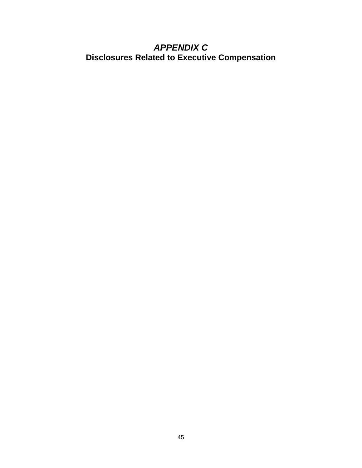### <span id="page-49-1"></span><span id="page-49-0"></span>*APPENDIX C* **Disclosures Related to Executive Compensation**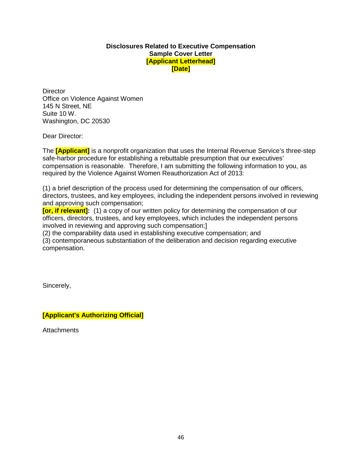#### **Disclosures Related to Executive Compensation Sample Cover Letter [Applicant Letterhead] [Date]**

**Director** Office on Violence Against Women 145 N Street, NE Suite 10 W. Washington, DC 20530

Dear Director:

The **[Applicant]** is a nonprofit organization that uses the Internal Revenue Service's three-step safe-harbor procedure for establishing a rebuttable presumption that our executives' compensation is reasonable. Therefore, I am submitting the following information to you, as required by the Violence Against Women Reauthorization Act of 2013:

(1) a brief description of the process used for determining the compensation of our officers, directors, trustees, and key employees, including the independent persons involved in reviewing and approving such compensation;

**[or, if relevant]:** (1) a copy of our written policy for determining the compensation of our officers, directors, trustees, and key employees, which includes the independent persons involved in reviewing and approving such compensation;]

(2) the comparability data used in establishing executive compensation; and

(3) contemporaneous substantiation of the deliberation and decision regarding executive compensation.

Sincerely,

**[Applicant's Authorizing Official]**

**Attachments**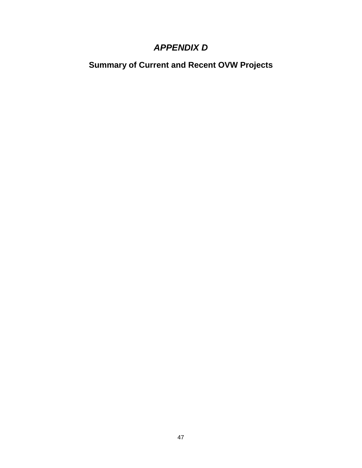### *APPENDIX D*

<span id="page-51-1"></span><span id="page-51-0"></span>**Summary of Current and Recent OVW Projects**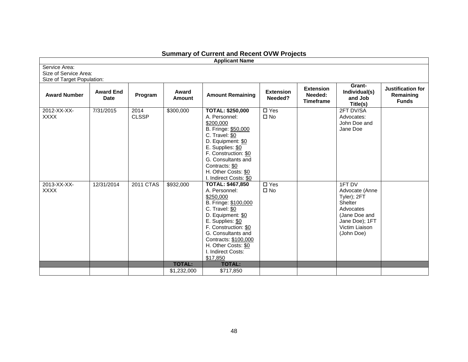| <b>Applicant Name</b>                                                |                                 |                      |                        |                                                                                                                                                                                                                                                                         |                                               |                                                 |                                                                                                                                    |                                                |  |  |  |
|----------------------------------------------------------------------|---------------------------------|----------------------|------------------------|-------------------------------------------------------------------------------------------------------------------------------------------------------------------------------------------------------------------------------------------------------------------------|-----------------------------------------------|-------------------------------------------------|------------------------------------------------------------------------------------------------------------------------------------|------------------------------------------------|--|--|--|
| Service Area:<br>Size of Service Area:<br>Size of Target Population: |                                 |                      |                        |                                                                                                                                                                                                                                                                         |                                               |                                                 |                                                                                                                                    |                                                |  |  |  |
| <b>Award Number</b>                                                  | <b>Award End</b><br><b>Date</b> | Program              | Award<br><b>Amount</b> | <b>Amount Remaining</b>                                                                                                                                                                                                                                                 | <b>Extension</b><br>Needed?                   | <b>Extension</b><br>Needed:<br><b>Timeframe</b> | Grant-<br>Individual(s)<br>and Job<br>Title(s)                                                                                     | Justification for<br>Remaining<br><b>Funds</b> |  |  |  |
| 2012-XX-XX-<br><b>XXXX</b>                                           | 7/31/2015                       | 2014<br><b>CLSSP</b> | \$300,000              | <b>TOTAL: \$250,000</b><br>A. Personnel:<br>\$200,000<br>B. Fringe: \$50,000<br>C. Travel: \$0<br>D. Equipment: \$0<br>E. Supplies: \$0<br>F. Construction: \$0<br>G. Consultants and<br>Contracts: \$0<br>H. Other Costs: \$0<br>I. Indirect Costs: \$0                | $\overline{\Box \text{ Yes}}$<br>$\square$ No |                                                 | 2FT DV/SA<br>Advocates:<br>John Doe and<br>Jane Doe                                                                                |                                                |  |  |  |
| 2013-XX-XX-<br><b>XXXX</b>                                           | 12/31/2014                      | <b>2011 CTAS</b>     | \$932,000              | <b>TOTAL: \$467,850</b><br>A. Personnel:<br>\$250,000<br>B. Fringe: \$100,000<br>C. Travel: \$0<br>D. Equipment: \$0<br>E. Supplies: \$0<br>F. Construction: \$0<br>G. Consultants and<br>Contracts: \$100,000<br>H. Other Costs: \$0<br>I. Indirect Costs:<br>\$17,850 | $\overline{\Box$ Yes<br>$\square$ No          |                                                 | 1FT DV<br>Advocate (Anne<br>Tyler); 2FT<br>Shelter<br>Advocates<br>(Jane Doe and<br>Jane Doe); 1FT<br>Victim Liaison<br>(John Doe) |                                                |  |  |  |
|                                                                      |                                 |                      | <b>TOTAL:</b>          | <b>TOTAL:</b>                                                                                                                                                                                                                                                           |                                               |                                                 |                                                                                                                                    |                                                |  |  |  |
|                                                                      |                                 |                      | \$1,232,000            | \$717,850                                                                                                                                                                                                                                                               |                                               |                                                 |                                                                                                                                    |                                                |  |  |  |

#### **Summary of Current and Recent OVW Projects**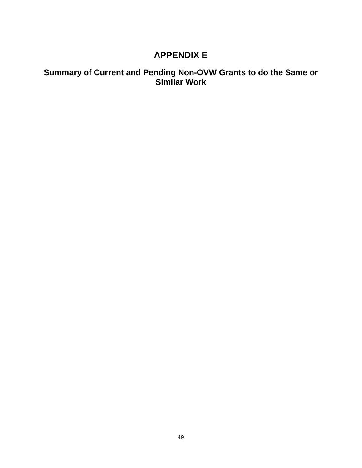### **APPENDIX E**

### <span id="page-53-1"></span><span id="page-53-0"></span>**Summary of Current and Pending Non-OVW Grants to do the Same or Similar Work**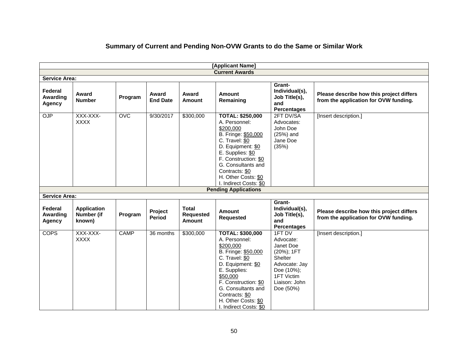|                               |                                            |                  |                          |                                            | [Applicant Name]                                                                                                                                                                                                                                         |                                                                                                                                      |                                                                                   |
|-------------------------------|--------------------------------------------|------------------|--------------------------|--------------------------------------------|----------------------------------------------------------------------------------------------------------------------------------------------------------------------------------------------------------------------------------------------------------|--------------------------------------------------------------------------------------------------------------------------------------|-----------------------------------------------------------------------------------|
|                               |                                            |                  |                          |                                            | <b>Current Awards</b>                                                                                                                                                                                                                                    |                                                                                                                                      |                                                                                   |
| <b>Service Area:</b>          |                                            |                  |                          |                                            |                                                                                                                                                                                                                                                          |                                                                                                                                      |                                                                                   |
| Federal<br>Awarding<br>Agency | Award<br><b>Number</b>                     | Program          | Award<br><b>End Date</b> | Award<br>Amount                            | <b>Amount</b><br>Remaining                                                                                                                                                                                                                               | Grant-<br>Individual(s),<br>Job Title(s),<br>and<br><b>Percentages</b>                                                               | Please describe how this project differs<br>from the application for OVW funding. |
| OJP                           | XXX-XXX-<br><b>XXXX</b>                    | $\overline{OVC}$ | 9/30/2017                | \$300,000                                  | <b>TOTAL: \$250,000</b><br>A. Personnel:<br>\$200.000<br>B. Fringe: \$50,000<br>C. Travel: \$0<br>D. Equipment: \$0<br>E. Supplies: \$0<br>F. Construction: \$0<br>G. Consultants and<br>Contracts: \$0<br>H. Other Costs: \$0<br>I. Indirect Costs: \$0 | 2FT DV/SA<br>Advocates:<br>John Doe<br>(25%) and<br>Jane Doe<br>(35%)                                                                | [Insert description.]                                                             |
|                               |                                            |                  |                          |                                            | <b>Pending Applications</b>                                                                                                                                                                                                                              |                                                                                                                                      |                                                                                   |
| <b>Service Area:</b>          |                                            |                  |                          |                                            |                                                                                                                                                                                                                                                          |                                                                                                                                      |                                                                                   |
| Federal<br>Awarding<br>Agency | <b>Application</b><br>Number (if<br>known) | Program          | <b>Project</b><br>Period | <b>Total</b><br><b>Requested</b><br>Amount | <b>Amount</b><br><b>Requested</b>                                                                                                                                                                                                                        | Grant-<br>Individual(s),<br>Job Title(s),<br>and<br><b>Percentages</b>                                                               | Please describe how this project differs<br>from the application for OVW funding. |
| <b>COPS</b>                   | XXX-XXX-<br><b>XXXX</b>                    | <b>CAMP</b>      | 36 months                | \$300,000                                  | <b>TOTAL: \$300,000</b><br>A. Personnel:<br>\$200,000<br>B. Fringe: \$50,000<br>C. Travel: \$0<br>D. Equipment: \$0<br>E. Supplies:<br>\$50,000<br>F. Construction: \$0<br>G. Consultants and                                                            | 1FT DV<br>Advocate:<br>Janet Doe<br>(20%); 1FT<br>Shelter<br>Advocate: Jay<br>Doe (10%);<br>1FT Victim<br>Liaison: John<br>Doe (50%) | [Insert description.]                                                             |

### **Summary of Current and Pending Non-OVW Grants to do the Same or Similar Work**